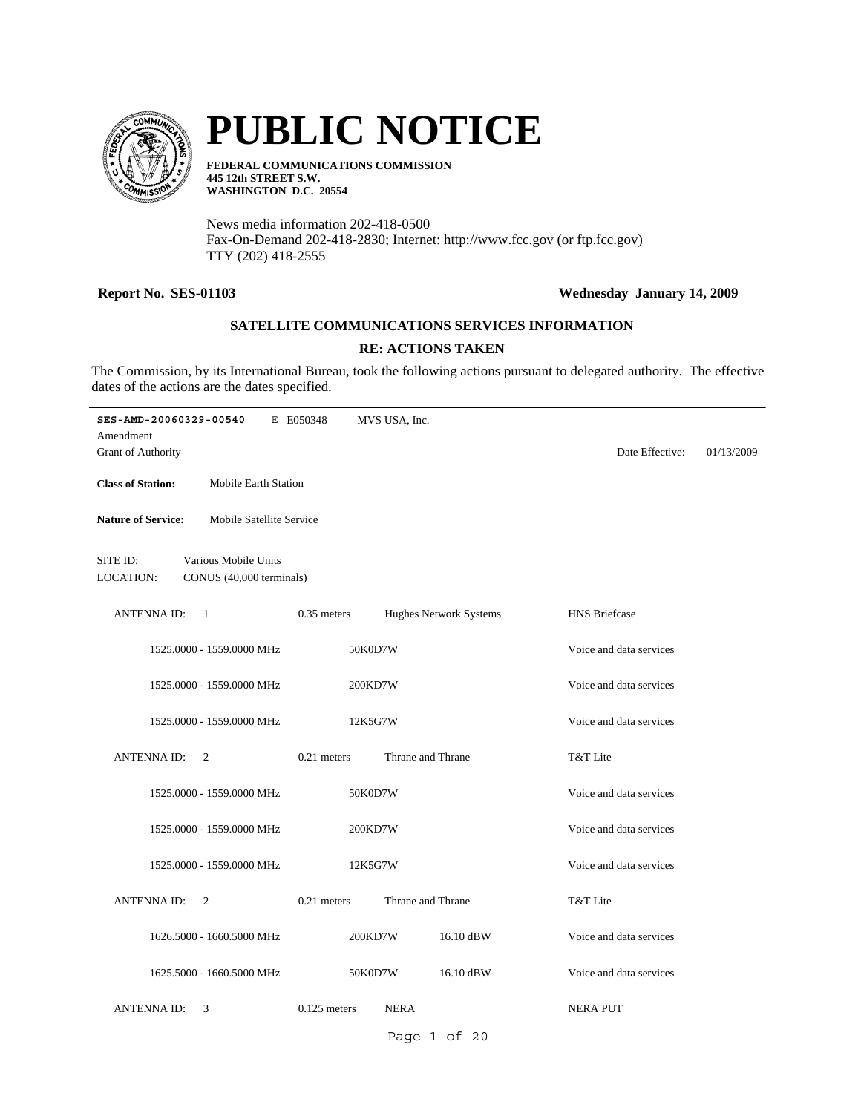

# **PUBLIC NOTICE**

**FEDERAL COMMUNICATIONS COMMISSION 445 12th STREET S.W. WASHINGTON D.C. 20554**

News media information 202-418-0500 Fax-On-Demand 202-418-2830; Internet: http://www.fcc.gov (or ftp.fcc.gov) TTY (202) 418-2555

#### **Report No. SES-01103 Wednesday January 14, 2009**

### **SATELLITE COMMUNICATIONS SERVICES INFORMATION**

#### **RE: ACTIONS TAKEN**

The Commission, by its International Bureau, took the following actions pursuant to delegated authority. The effective dates of the actions are the dates specified.

| SES-AMD-20060329-00540<br>Amendment  |                                                  | E E050348      | MVS USA, Inc.     |                        |                         |            |
|--------------------------------------|--------------------------------------------------|----------------|-------------------|------------------------|-------------------------|------------|
| <b>Grant of Authority</b>            |                                                  |                |                   |                        | Date Effective:         | 01/13/2009 |
| <b>Class of Station:</b>             | <b>Mobile Earth Station</b>                      |                |                   |                        |                         |            |
| <b>Nature of Service:</b>            | Mobile Satellite Service                         |                |                   |                        |                         |            |
| SITE ID:<br>LOCATION:                | Various Mobile Units<br>CONUS (40,000 terminals) |                |                   |                        |                         |            |
| <b>ANTENNA ID:</b><br>$\overline{1}$ |                                                  | $0.35$ meters  |                   | Hughes Network Systems | <b>HNS</b> Briefcase    |            |
|                                      | 1525.0000 - 1559.0000 MHz                        | 50K0D7W        |                   |                        | Voice and data services |            |
|                                      | 1525.0000 - 1559.0000 MHz                        | 200KD7W        |                   |                        | Voice and data services |            |
|                                      | 1525.0000 - 1559.0000 MHz                        | 12K5G7W        |                   |                        | Voice and data services |            |
| <b>ANTENNA ID:</b>                   | 2                                                | 0.21 meters    | Thrane and Thrane |                        | T&T Lite                |            |
|                                      | 1525.0000 - 1559.0000 MHz                        | 50K0D7W        |                   |                        | Voice and data services |            |
|                                      | 1525.0000 - 1559.0000 MHz                        | 200KD7W        |                   |                        | Voice and data services |            |
|                                      | 1525.0000 - 1559.0000 MHz                        | 12K5G7W        |                   |                        | Voice and data services |            |
| <b>ANTENNA ID:</b>                   | $\overline{2}$                                   | 0.21 meters    | Thrane and Thrane |                        | T&T Lite                |            |
|                                      | 1626.5000 - 1660.5000 MHz                        | 200KD7W        |                   | 16.10 dBW              | Voice and data services |            |
|                                      | 1625.5000 - 1660.5000 MHz                        | 50K0D7W        |                   | 16.10 dBW              | Voice and data services |            |
| <b>ANTENNAID:</b>                    | 3                                                | $0.125$ meters | <b>NERA</b>       |                        | <b>NERA PUT</b>         |            |
|                                      |                                                  |                |                   | Page 1 of 20           |                         |            |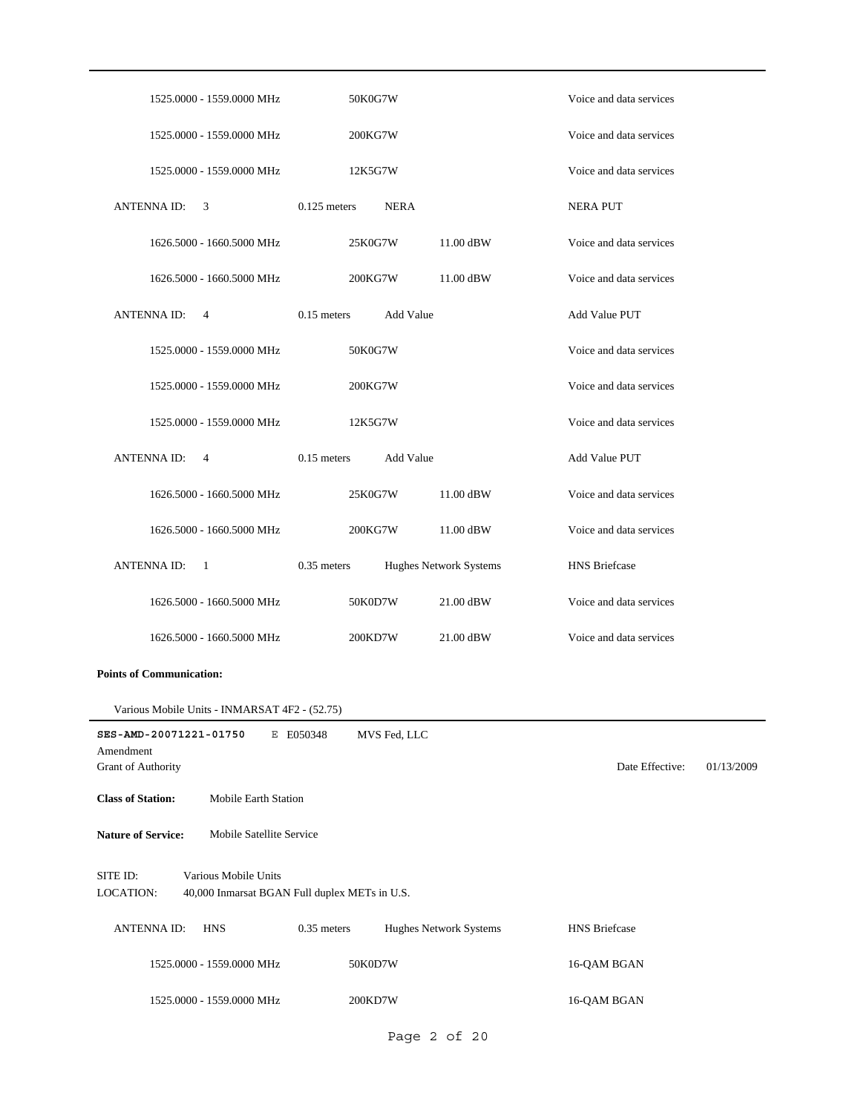| 1525.0000 - 1559.0000 MHz                                                                      | 50K0G7W        |              |                               | Voice and data services |            |
|------------------------------------------------------------------------------------------------|----------------|--------------|-------------------------------|-------------------------|------------|
| 1525.0000 - 1559.0000 MHz                                                                      | 200KG7W        |              |                               | Voice and data services |            |
| 1525.0000 - 1559.0000 MHz                                                                      | 12K5G7W        |              |                               | Voice and data services |            |
| <b>ANTENNA ID:</b><br>3                                                                        | $0.125$ meters | <b>NERA</b>  |                               | <b>NERA PUT</b>         |            |
| 1626.5000 - 1660.5000 MHz                                                                      | 25K0G7W        |              | 11.00 dBW                     | Voice and data services |            |
| 1626.5000 - 1660.5000 MHz                                                                      | 200KG7W        |              | 11.00 dBW                     | Voice and data services |            |
| <b>ANTENNA ID:</b><br>4                                                                        | $0.15$ meters  | Add Value    |                               | Add Value PUT           |            |
|                                                                                                |                |              |                               | Voice and data services |            |
| 1525.0000 - 1559.0000 MHz                                                                      | 50K0G7W        |              |                               |                         |            |
| 1525.0000 - 1559.0000 MHz                                                                      | 200KG7W        |              |                               | Voice and data services |            |
| 1525.0000 - 1559.0000 MHz                                                                      | 12K5G7W        |              |                               | Voice and data services |            |
| <b>ANTENNA ID:</b><br>4                                                                        | $0.15$ meters  | Add Value    |                               | <b>Add Value PUT</b>    |            |
| 1626.5000 - 1660.5000 MHz                                                                      | 25K0G7W        |              | 11.00 dBW                     | Voice and data services |            |
| 1626.5000 - 1660.5000 MHz                                                                      | 200KG7W        |              | 11.00 dBW                     | Voice and data services |            |
| <b>ANTENNA ID:</b><br>- 1                                                                      | $0.35$ meters  |              | Hughes Network Systems        | <b>HNS</b> Briefcase    |            |
| 1626.5000 - 1660.5000 MHz                                                                      | 50K0D7W        |              | 21.00 dBW                     | Voice and data services |            |
| 1626.5000 - 1660.5000 MHz                                                                      | 200KD7W        |              | 21.00 dBW                     | Voice and data services |            |
| <b>Points of Communication:</b>                                                                |                |              |                               |                         |            |
| Various Mobile Units - INMARSAT 4F2 - (52.75)                                                  |                |              |                               |                         |            |
| SES-AMD-20071221-01750                                                                         | E E050348      | MVS Fed, LLC |                               |                         |            |
| Amendment<br><b>Grant of Authority</b>                                                         |                |              |                               | Date Effective:         | 01/13/2009 |
| <b>Class of Station:</b><br>Mobile Earth Station                                               |                |              |                               |                         |            |
| <b>Nature of Service:</b><br>Mobile Satellite Service                                          |                |              |                               |                         |            |
| Various Mobile Units<br>SITE ID:<br>LOCATION:<br>40,000 Inmarsat BGAN Full duplex METs in U.S. |                |              |                               |                         |            |
| <b>ANTENNA ID:</b><br><b>HNS</b>                                                               | $0.35$ meters  |              | <b>Hughes Network Systems</b> | <b>HNS</b> Briefcase    |            |
| 1525.0000 - 1559.0000 MHz                                                                      | 50K0D7W        |              |                               | 16-QAM BGAN             |            |
| 1525.0000 - 1559.0000 MHz                                                                      | 200KD7W        |              |                               | 16-QAM BGAN             |            |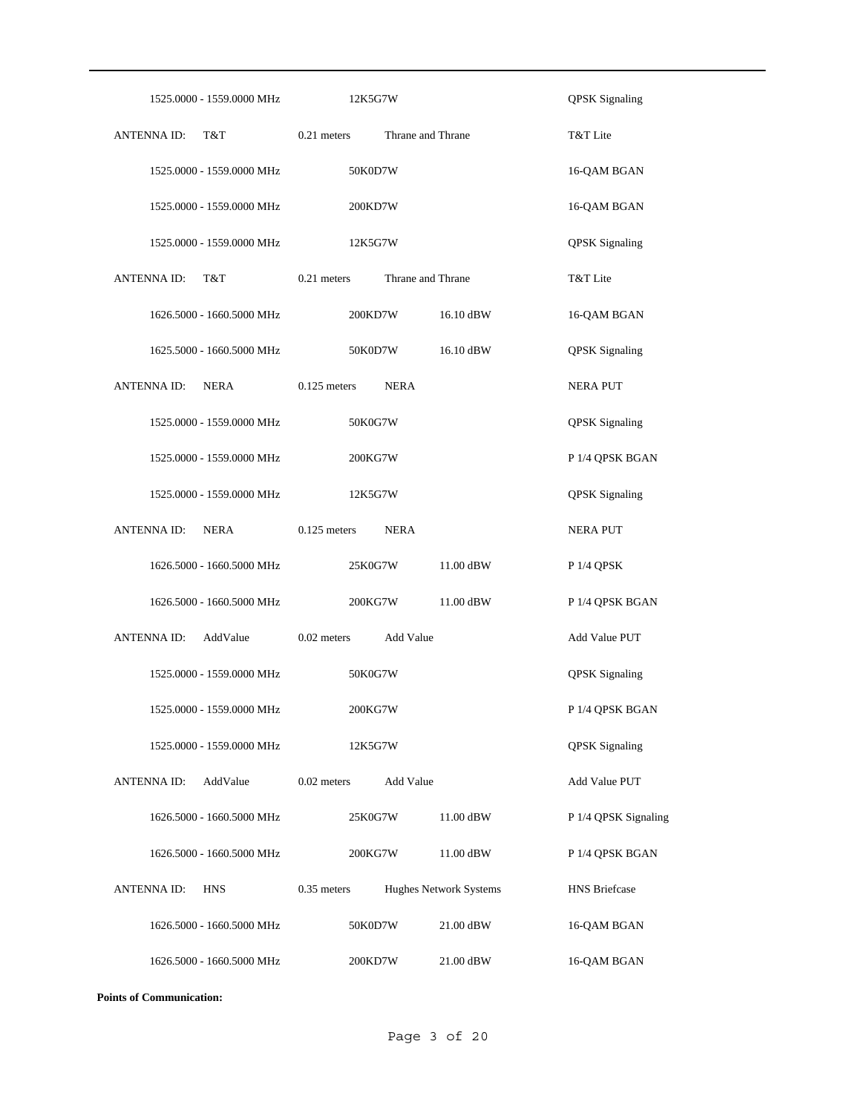| 1525.0000 - 1559.0000 MHz         | 12K5G7W                                 | <b>QPSK</b> Signaling |
|-----------------------------------|-----------------------------------------|-----------------------|
| ANTENNA ID:<br>T&T                | 0.21 meters<br>Thrane and Thrane        | T&T Lite              |
| 1525.0000 - 1559.0000 MHz         | 50K0D7W                                 | 16-QAM BGAN           |
| 1525.0000 - 1559.0000 MHz         | 200KD7W                                 | 16-QAM BGAN           |
| 1525.0000 - 1559.0000 MHz         | 12K5G7W                                 | <b>QPSK</b> Signaling |
| <b>ANTENNA ID:</b><br>T&T         | $0.21$ meters<br>Thrane and Thrane      | T&T Lite              |
| 1626.5000 - 1660.5000 MHz         | 200KD7W<br>16.10 dBW                    | 16-QAM BGAN           |
| 1625.5000 - 1660.5000 MHz         | 16.10 dBW<br>50K0D7W                    | <b>QPSK</b> Signaling |
| <b>NERA</b><br><b>ANTENNA ID:</b> | $0.125$ meters<br><b>NERA</b>           | <b>NERA PUT</b>       |
| 1525.0000 - 1559.0000 MHz         | 50K0G7W                                 | <b>QPSK</b> Signaling |
| 1525.0000 - 1559.0000 MHz         | 200KG7W                                 | P 1/4 QPSK BGAN       |
| 1525.0000 - 1559.0000 MHz         | 12K5G7W                                 | <b>QPSK</b> Signaling |
| <b>ANTENNA ID:</b><br><b>NERA</b> | $0.125$ meters<br><b>NERA</b>           | NERA PUT              |
| 1626.5000 - 1660.5000 MHz         | 11.00 dBW<br>25K0G7W                    | P 1/4 QPSK            |
| 1626.5000 - 1660.5000 MHz         | 200KG7W<br>11.00 dBW                    | P 1/4 QPSK BGAN       |
| AddValue<br><b>ANTENNA ID:</b>    | $0.02$ meters<br>Add Value              | Add Value PUT         |
| 1525.0000 - 1559.0000 MHz         | 50K0G7W                                 | <b>QPSK</b> Signaling |
| 1525.0000 - 1559.0000 MHz         | 200KG7W                                 | P 1/4 QPSK BGAN       |
| 1525.0000 - 1559.0000 MHz         | 12K5G7W                                 | <b>QPSK</b> Signaling |
| AddValue<br><b>ANTENNAID:</b>     | $0.02$ meters<br>Add Value              | Add Value PUT         |
| 1626.5000 - 1660.5000 MHz         | 25K0G7W<br>11.00 dBW                    | P 1/4 QPSK Signaling  |
| 1626.5000 - 1660.5000 MHz         | 200KG7W<br>11.00 dBW                    | P 1/4 QPSK BGAN       |
| <b>ANTENNAID:</b><br><b>HNS</b>   | $0.35$ meters<br>Hughes Network Systems | <b>HNS Briefcase</b>  |
| 1626.5000 - 1660.5000 MHz         | 50K0D7W<br>21.00 dBW                    | 16-QAM BGAN           |
| 1626.5000 - 1660.5000 MHz         | 21.00 dBW<br>200KD7W                    | 16-QAM BGAN           |

**Points of Communication:**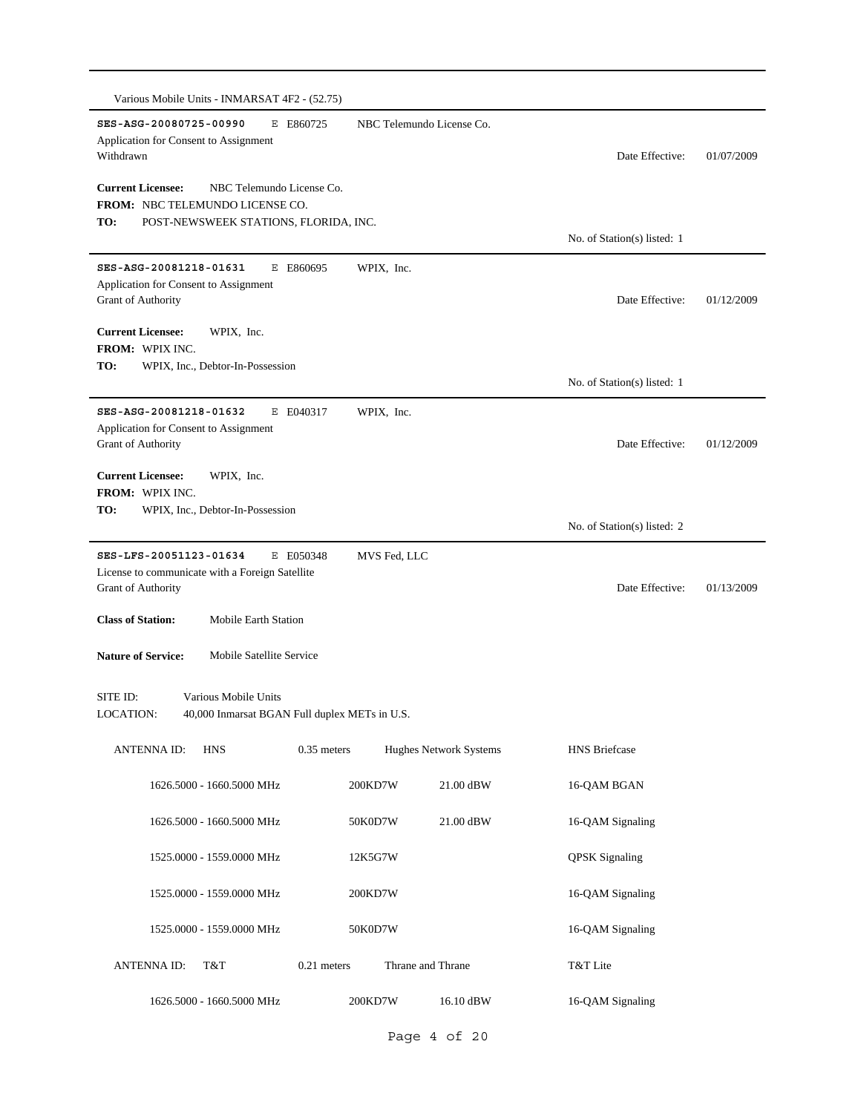| SES-ASG-20080725-00990<br>E E860725<br>Application for Consent to Assignment<br>Withdrawn | NBC Telemundo License Co. | Date Effective:             | 01/07/2009 |
|-------------------------------------------------------------------------------------------|---------------------------|-----------------------------|------------|
|                                                                                           |                           |                             |            |
| <b>Current Licensee:</b><br>NBC Telemundo License Co.<br>FROM: NBC TELEMUNDO LICENSE CO.  |                           |                             |            |
| TO:<br>POST-NEWSWEEK STATIONS, FLORIDA, INC.                                              |                           |                             |            |
|                                                                                           |                           | No. of Station(s) listed: 1 |            |
| SES-ASG-20081218-01631<br>E E860695<br>Application for Consent to Assignment              | WPIX, Inc.                |                             |            |
| Grant of Authority                                                                        |                           | Date Effective:             | 01/12/2009 |
| <b>Current Licensee:</b><br>WPIX, Inc.                                                    |                           |                             |            |
| FROM: WPIX INC.                                                                           |                           |                             |            |
| TO:<br>WPIX, Inc., Debtor-In-Possession                                                   |                           | No. of Station(s) listed: 1 |            |
|                                                                                           |                           |                             |            |
| SES-ASG-20081218-01632<br>E E040317<br>Application for Consent to Assignment              | WPIX, Inc.                |                             |            |
| Grant of Authority                                                                        |                           | Date Effective:             | 01/12/2009 |
| <b>Current Licensee:</b><br>WPIX, Inc.                                                    |                           |                             |            |
| FROM: WPIX INC.                                                                           |                           |                             |            |
| TO:<br>WPIX, Inc., Debtor-In-Possession                                                   |                           | No. of Station(s) listed: 2 |            |
| SES-LFS-20051123-01634<br>E E050348                                                       | MVS Fed, LLC              |                             |            |
| License to communicate with a Foreign Satellite                                           |                           |                             |            |
| Grant of Authority                                                                        |                           | Date Effective:             | 01/13/2009 |
| <b>Class of Station:</b><br><b>Mobile Earth Station</b>                                   |                           |                             |            |
| <b>Nature of Service:</b><br>Mobile Satellite Service                                     |                           |                             |            |
|                                                                                           |                           |                             |            |
| Various Mobile Units<br>SITE ID:                                                          |                           |                             |            |
| <b>LOCATION:</b><br>40,000 Inmarsat BGAN Full duplex METs in U.S.                         |                           |                             |            |
| $0.35$ meters<br><b>ANTENNA ID:</b><br><b>HNS</b>                                         | Hughes Network Systems    | <b>HNS</b> Briefcase        |            |
| 1626.5000 - 1660.5000 MHz                                                                 | 200KD7W<br>21.00 dBW      | 16-QAM BGAN                 |            |
| 1626.5000 - 1660.5000 MHz                                                                 | 50K0D7W<br>21.00 dBW      | 16-QAM Signaling            |            |
| 1525.0000 - 1559.0000 MHz                                                                 | 12K5G7W                   | <b>QPSK</b> Signaling       |            |
| 1525.0000 - 1559.0000 MHz                                                                 | 200KD7W                   | 16-QAM Signaling            |            |
| 1525.0000 - 1559.0000 MHz                                                                 | 50K0D7W                   | 16-QAM Signaling            |            |
| 0.21 meters<br>ANTENNA ID:<br>T&T                                                         | Thrane and Thrane         | T&T Lite                    |            |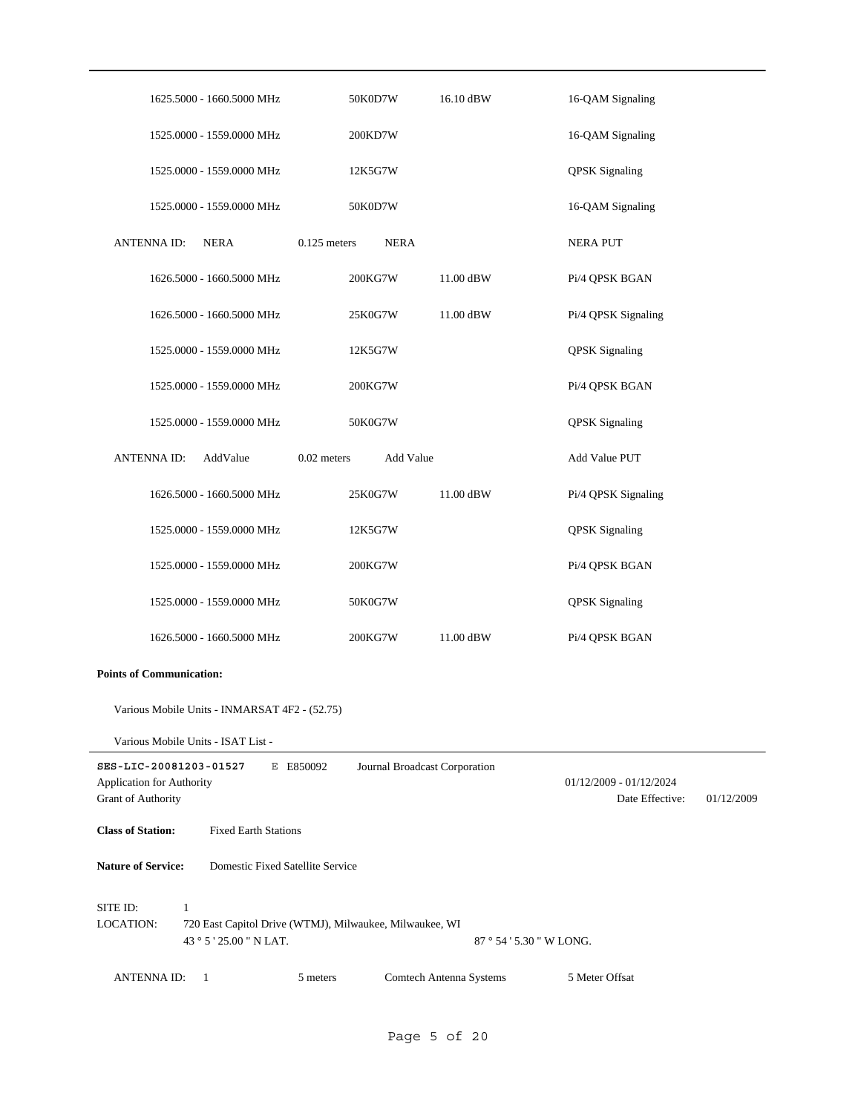| 1625.5000 - 1660.5000 MHz                                                        | 50K0D7W<br>16.10 dBW                                    | 16-QAM Signaling                                         |
|----------------------------------------------------------------------------------|---------------------------------------------------------|----------------------------------------------------------|
| 1525.0000 - 1559.0000 MHz                                                        | 200KD7W                                                 | 16-QAM Signaling                                         |
| 1525.0000 - 1559.0000 MHz                                                        | 12K5G7W                                                 | <b>QPSK</b> Signaling                                    |
| 1525.0000 - 1559.0000 MHz                                                        | 50K0D7W                                                 | 16-QAM Signaling                                         |
| <b>ANTENNAID:</b><br><b>NERA</b>                                                 | $0.125$ meters<br><b>NERA</b>                           | <b>NERA PUT</b>                                          |
| 1626.5000 - 1660.5000 MHz                                                        | 200KG7W<br>11.00 dBW                                    | Pi/4 QPSK BGAN                                           |
| 1626.5000 - 1660.5000 MHz                                                        | 11.00 dBW<br>25K0G7W                                    | Pi/4 QPSK Signaling                                      |
| 1525.0000 - 1559.0000 MHz                                                        | 12K5G7W                                                 | <b>QPSK</b> Signaling                                    |
| 1525.0000 - 1559.0000 MHz                                                        | 200KG7W                                                 | Pi/4 QPSK BGAN                                           |
| 1525.0000 - 1559.0000 MHz                                                        | 50K0G7W                                                 | <b>QPSK</b> Signaling                                    |
| AddValue<br><b>ANTENNA ID:</b>                                                   | $0.02$ meters<br>Add Value                              | Add Value PUT                                            |
| 1626.5000 - 1660.5000 MHz                                                        | 25K0G7W<br>11.00 dBW                                    | Pi/4 QPSK Signaling                                      |
| 1525.0000 - 1559.0000 MHz                                                        | 12K5G7W                                                 | <b>QPSK</b> Signaling                                    |
| 1525.0000 - 1559.0000 MHz                                                        | 200KG7W                                                 | Pi/4 QPSK BGAN                                           |
| 1525.0000 - 1559.0000 MHz                                                        | 50K0G7W                                                 | <b>QPSK</b> Signaling                                    |
| 1626.5000 - 1660.5000 MHz                                                        | 200KG7W<br>11.00 dBW                                    | Pi/4 QPSK BGAN                                           |
| <b>Points of Communication:</b>                                                  |                                                         |                                                          |
| Various Mobile Units - INMARSAT 4F2 - (52.75)                                    |                                                         |                                                          |
| Various Mobile Units - ISAT List -                                               |                                                         |                                                          |
| SES-LIC-20081203-01527<br>Application for Authority<br><b>Grant of Authority</b> | E E850092<br>Journal Broadcast Corporation              | 01/12/2009 - 01/12/2024<br>Date Effective:<br>01/12/2009 |
| <b>Class of Station:</b><br><b>Fixed Earth Stations</b>                          |                                                         |                                                          |
| <b>Nature of Service:</b><br>Domestic Fixed Satellite Service                    |                                                         |                                                          |
| SITE ID:<br>$\mathbf{1}$<br><b>LOCATION:</b><br>43 ° 5 ' 25.00 " N LAT.          | 720 East Capitol Drive (WTMJ), Milwaukee, Milwaukee, WI | 87 ° 54 ' 5.30 " W LONG.                                 |
| <b>ANTENNA ID:</b><br>1                                                          | Comtech Antenna Systems<br>5 meters                     | 5 Meter Offsat                                           |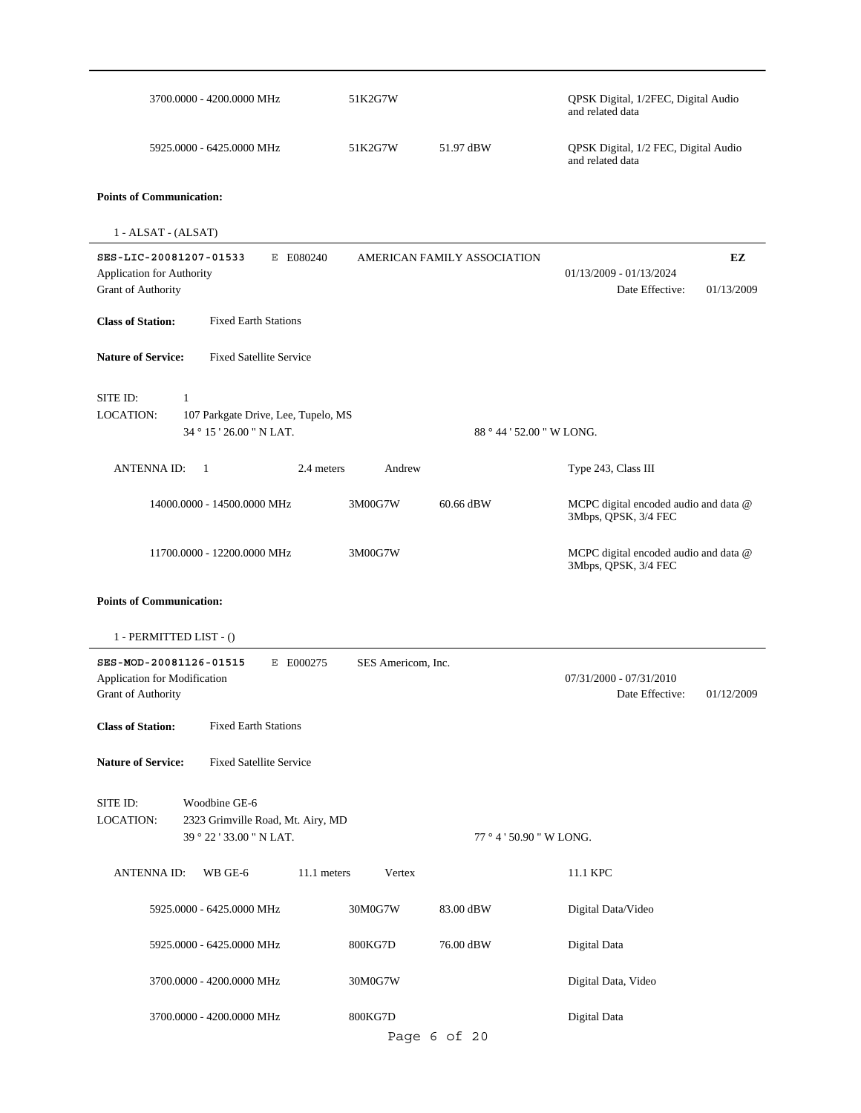|                                                                                                                                            | 3700.0000 - 4200.0000 MHz                                                      | 51K2G7W               |                             | QPSK Digital, 1/2FEC, Digital Audio<br>and related data       |                  |
|--------------------------------------------------------------------------------------------------------------------------------------------|--------------------------------------------------------------------------------|-----------------------|-----------------------------|---------------------------------------------------------------|------------------|
|                                                                                                                                            | 5925.0000 - 6425.0000 MHz                                                      | 51K2G7W               | 51.97 dBW                   | QPSK Digital, 1/2 FEC, Digital Audio<br>and related data      |                  |
| <b>Points of Communication:</b>                                                                                                            |                                                                                |                       |                             |                                                               |                  |
| 1 - ALSAT - (ALSAT)                                                                                                                        |                                                                                |                       |                             |                                                               |                  |
| SES-LIC-20081207-01533<br>Application for Authority<br>Grant of Authority                                                                  | E E080240                                                                      |                       | AMERICAN FAMILY ASSOCIATION | 01/13/2009 - 01/13/2024<br>Date Effective:                    | EZ<br>01/13/2009 |
| <b>Class of Station:</b>                                                                                                                   | <b>Fixed Earth Stations</b>                                                    |                       |                             |                                                               |                  |
| <b>Nature of Service:</b>                                                                                                                  | <b>Fixed Satellite Service</b>                                                 |                       |                             |                                                               |                  |
| SITE ID:<br>1<br>LOCATION:                                                                                                                 | 107 Parkgate Drive, Lee, Tupelo, MS<br>34 ° 15 ' 26.00 " N LAT.                |                       |                             | 88 ° 44 ' 52.00 " W LONG.                                     |                  |
| <b>ANTENNAID:</b>                                                                                                                          | $\overline{1}$                                                                 | 2.4 meters<br>Andrew  |                             | Type 243, Class III                                           |                  |
|                                                                                                                                            | 14000.0000 - 14500.0000 MHz                                                    | 3M00G7W               | 60.66 dBW                   | MCPC digital encoded audio and data @<br>3Mbps, QPSK, 3/4 FEC |                  |
|                                                                                                                                            | 11700.0000 - 12200.0000 MHz                                                    | 3M00G7W               |                             | MCPC digital encoded audio and data @<br>3Mbps, QPSK, 3/4 FEC |                  |
| <b>Points of Communication:</b><br>1 - PERMITTED LIST - ()<br>SES-MOD-20081126-01515<br>Application for Modification<br>Grant of Authority | E E000275                                                                      | SES Americom, Inc.    |                             | $07/31/2000 - 07/31/2010$<br>Date Effective:                  | 01/12/2009       |
| <b>Class of Station:</b>                                                                                                                   | <b>Fixed Earth Stations</b>                                                    |                       |                             |                                                               |                  |
| <b>Nature of Service:</b>                                                                                                                  | <b>Fixed Satellite Service</b>                                                 |                       |                             |                                                               |                  |
| SITE ID:<br><b>LOCATION:</b>                                                                                                               | Woodbine GE-6<br>2323 Grimville Road, Mt. Airy, MD<br>39 ° 22 ' 33.00 " N LAT. |                       | 77 ° 4 ' 50.90 " W LONG.    |                                                               |                  |
| <b>ANTENNA ID:</b>                                                                                                                         | WB GE-6                                                                        | Vertex<br>11.1 meters |                             | 11.1 KPC                                                      |                  |
|                                                                                                                                            | 5925.0000 - 6425.0000 MHz                                                      | 30M0G7W               | 83.00 dBW                   | Digital Data/Video                                            |                  |
|                                                                                                                                            | 5925.0000 - 6425.0000 MHz                                                      | 800KG7D               | 76.00 dBW                   | Digital Data                                                  |                  |
|                                                                                                                                            | 3700.0000 - 4200.0000 MHz                                                      | 30M0G7W               |                             | Digital Data, Video                                           |                  |
|                                                                                                                                            |                                                                                |                       |                             |                                                               |                  |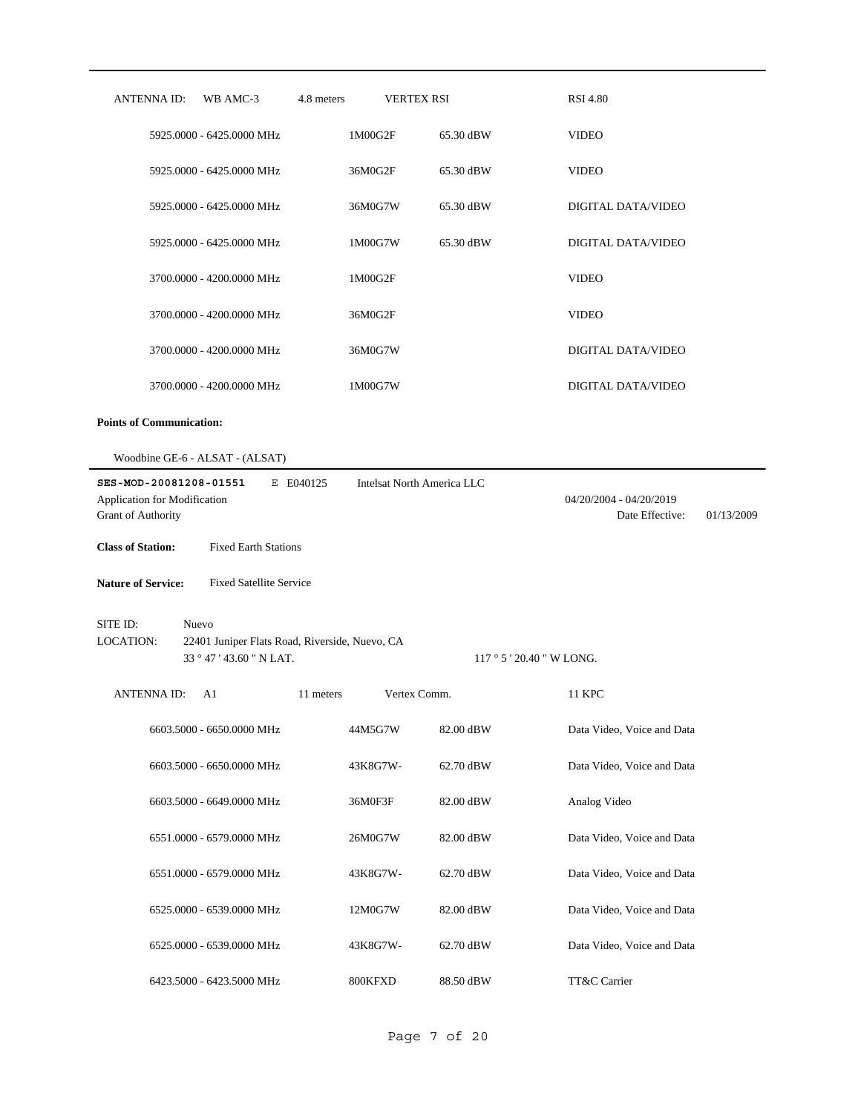| ANTENNA ID:                                                                  | WB AMC-3                                                                            | 4.8 meters | <b>VERTEX RSI</b>                 | <b>RSI 4.80</b>                            |            |
|------------------------------------------------------------------------------|-------------------------------------------------------------------------------------|------------|-----------------------------------|--------------------------------------------|------------|
|                                                                              | 5925.0000 - 6425.0000 MHz                                                           | 1M00G2F    | 65.30 dBW                         | <b>VIDEO</b>                               |            |
|                                                                              | 5925.0000 - 6425.0000 MHz                                                           | 36M0G2F    | 65.30 dBW                         | <b>VIDEO</b>                               |            |
|                                                                              | 5925.0000 - 6425.0000 MHz                                                           | 36M0G7W    | 65.30 dBW                         | DIGITAL DATA/VIDEO                         |            |
|                                                                              | 5925.0000 - 6425.0000 MHz                                                           | 1M00G7W    | 65.30 dBW                         | DIGITAL DATA/VIDEO                         |            |
|                                                                              | 3700.0000 - 4200.0000 MHz                                                           | 1M00G2F    |                                   | <b>VIDEO</b>                               |            |
|                                                                              | 3700.0000 - 4200.0000 MHz                                                           | 36M0G2F    |                                   | <b>VIDEO</b>                               |            |
|                                                                              | 3700.0000 - 4200.0000 MHz                                                           | 36M0G7W    |                                   | DIGITAL DATA/VIDEO                         |            |
|                                                                              | 3700.0000 - 4200.0000 MHz                                                           | 1M00G7W    |                                   | DIGITAL DATA/VIDEO                         |            |
| <b>Points of Communication:</b>                                              |                                                                                     |            |                                   |                                            |            |
|                                                                              | Woodbine GE-6 - ALSAT - (ALSAT)                                                     |            |                                   |                                            |            |
| SES-MOD-20081208-01551<br>Application for Modification<br>Grant of Authority |                                                                                     | E E040125  | <b>Intelsat North America LLC</b> | 04/20/2004 - 04/20/2019<br>Date Effective: | 01/13/2009 |
| <b>Class of Station:</b>                                                     | <b>Fixed Earth Stations</b>                                                         |            |                                   |                                            |            |
| <b>Nature of Service:</b>                                                    | <b>Fixed Satellite Service</b>                                                      |            |                                   |                                            |            |
| SITE ID:<br>LOCATION:                                                        | Nuevo<br>22401 Juniper Flats Road, Riverside, Nuevo, CA<br>33 ° 47 ' 43.60 " N LAT. |            |                                   | $117°5'20.40''$ W LONG.                    |            |
| <b>ANTENNA ID:</b>                                                           | A1                                                                                  | 11 meters  | Vertex Comm.                      | 11 KPC                                     |            |
|                                                                              | 6603.5000 - 6650.0000 MHz                                                           | 44M5G7W    | 82.00 dBW                         | Data Video, Voice and Data                 |            |
|                                                                              | 6603.5000 - 6650.0000 MHz                                                           | 43K8G7W-   | 62.70 dBW                         | Data Video, Voice and Data                 |            |
|                                                                              | 6603.5000 - 6649.0000 MHz                                                           | 36M0F3F    | 82.00 dBW                         | Analog Video                               |            |
|                                                                              | 6551.0000 - 6579.0000 MHz                                                           | 26M0G7W    | 82.00 dBW                         | Data Video, Voice and Data                 |            |
|                                                                              | 6551.0000 - 6579.0000 MHz                                                           | 43K8G7W-   | 62.70 dBW                         | Data Video, Voice and Data                 |            |
|                                                                              | 6525.0000 - 6539.0000 MHz                                                           | 12M0G7W    | 82.00 dBW                         | Data Video, Voice and Data                 |            |
|                                                                              | 6525.0000 - 6539.0000 MHz                                                           | 43K8G7W-   | 62.70 dBW                         | Data Video, Voice and Data                 |            |
|                                                                              | 6423.5000 - 6423.5000 MHz                                                           | 800KFXD    | 88.50 dBW                         | TT&C Carrier                               |            |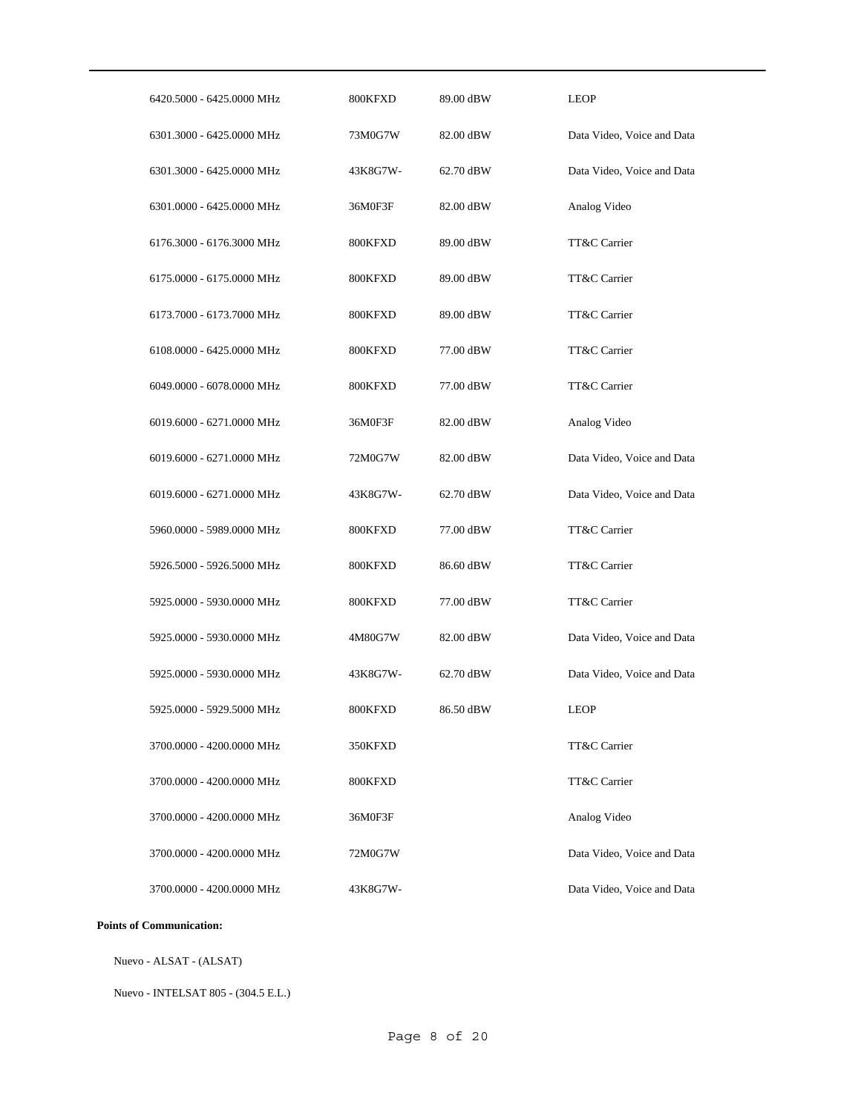| 6420.5000 - 6425.0000 MHz | 800KFXD  | 89.00 dBW | <b>LEOP</b>                |
|---------------------------|----------|-----------|----------------------------|
| 6301.3000 - 6425.0000 MHz | 73M0G7W  | 82.00 dBW | Data Video, Voice and Data |
| 6301.3000 - 6425.0000 MHz | 43K8G7W- | 62.70 dBW | Data Video, Voice and Data |
| 6301.0000 - 6425.0000 MHz | 36M0F3F  | 82.00 dBW | Analog Video               |
| 6176.3000 - 6176.3000 MHz | 800KFXD  | 89.00 dBW | TT&C Carrier               |
| 6175.0000 - 6175.0000 MHz | 800KFXD  | 89.00 dBW | TT&C Carrier               |
| 6173.7000 - 6173.7000 MHz | 800KFXD  | 89.00 dBW | TT&C Carrier               |
| 6108.0000 - 6425.0000 MHz | 800KFXD  | 77.00 dBW | TT&C Carrier               |
| 6049.0000 - 6078.0000 MHz | 800KFXD  | 77.00 dBW | TT&C Carrier               |
| 6019.6000 - 6271.0000 MHz | 36M0F3F  | 82.00 dBW | Analog Video               |
| 6019.6000 - 6271.0000 MHz | 72M0G7W  | 82.00 dBW | Data Video, Voice and Data |
| 6019.6000 - 6271.0000 MHz | 43K8G7W- | 62.70 dBW | Data Video, Voice and Data |
| 5960.0000 - 5989.0000 MHz | 800KFXD  | 77.00 dBW | TT&C Carrier               |
| 5926.5000 - 5926.5000 MHz | 800KFXD  | 86.60 dBW | TT&C Carrier               |
| 5925.0000 - 5930.0000 MHz | 800KFXD  | 77.00 dBW | TT&C Carrier               |
| 5925.0000 - 5930.0000 MHz | 4M80G7W  | 82.00 dBW | Data Video, Voice and Data |
| 5925.0000 - 5930.0000 MHz | 43K8G7W- | 62.70 dBW | Data Video, Voice and Data |
| 5925.0000 - 5929.5000 MHz | 800KFXD  | 86.50 dBW | <b>LEOP</b>                |
| 3700.0000 - 4200.0000 MHz | 350KFXD  |           | TT&C Carrier               |
| 3700.0000 - 4200.0000 MHz | 800KFXD  |           | TT&C Carrier               |
| 3700.0000 - 4200.0000 MHz | 36M0F3F  |           | Analog Video               |
| 3700.0000 - 4200.0000 MHz | 72M0G7W  |           | Data Video, Voice and Data |
| 3700.0000 - 4200.0000 MHz | 43K8G7W- |           | Data Video, Voice and Data |
|                           |          |           |                            |

#### **Points of Communication:**

Nuevo - ALSAT - (ALSAT)

Nuevo - INTELSAT 805 - (304.5 E.L.)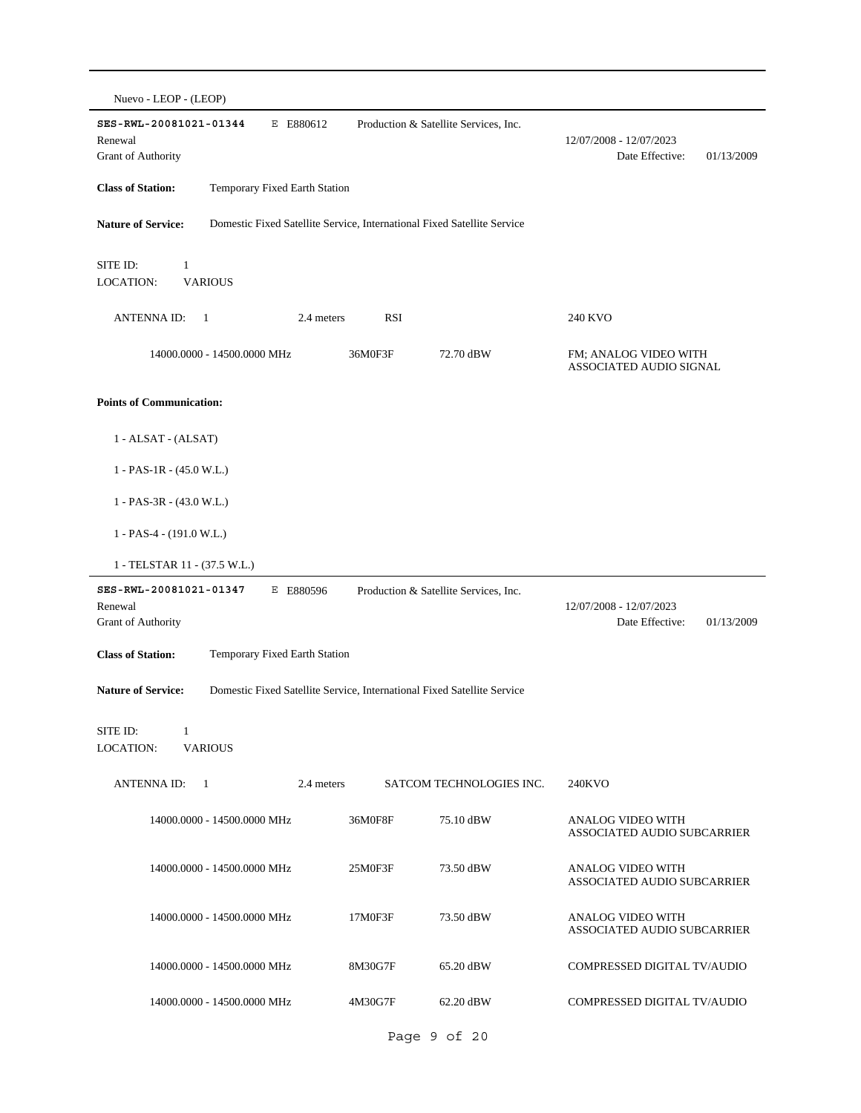| Nuevo - LEOP - (LEOP)                                                                                |            |                                       |                                                                |
|------------------------------------------------------------------------------------------------------|------------|---------------------------------------|----------------------------------------------------------------|
| E E880612<br>SES-RWL-20081021-01344<br>Renewal<br>Grant of Authority                                 |            | Production & Satellite Services, Inc. | 12/07/2008 - 12/07/2023<br>Date Effective:<br>01/13/2009       |
| <b>Class of Station:</b><br>Temporary Fixed Earth Station                                            |            |                                       |                                                                |
| <b>Nature of Service:</b><br>Domestic Fixed Satellite Service, International Fixed Satellite Service |            |                                       |                                                                |
| SITE ID:<br>$\mathbf{1}$<br><b>LOCATION:</b><br><b>VARIOUS</b>                                       |            |                                       |                                                                |
| <b>ANTENNA ID:</b><br>2.4 meters<br>- 1                                                              | <b>RSI</b> |                                       | 240 KVO                                                        |
| 14000.0000 - 14500.0000 MHz                                                                          | 36M0F3F    | 72.70 dBW                             | FM; ANALOG VIDEO WITH<br>ASSOCIATED AUDIO SIGNAL               |
| <b>Points of Communication:</b>                                                                      |            |                                       |                                                                |
| $1 - ALSAT - (ALSAT)$                                                                                |            |                                       |                                                                |
| $1 - PAS-1R - (45.0 W.L.)$                                                                           |            |                                       |                                                                |
| $1 - PAS-3R - (43.0 W.L.)$                                                                           |            |                                       |                                                                |
| $1 - PAS-4 - (191.0 W.L.)$                                                                           |            |                                       |                                                                |
| 1 - TELSTAR 11 - (37.5 W.L.)                                                                         |            |                                       |                                                                |
| SES-RWL-20081021-01347<br>E E880596<br>Renewal<br>Grant of Authority                                 |            | Production & Satellite Services, Inc. | 12/07/2008 - 12/07/2023<br>Date Effective:<br>01/13/2009       |
| <b>Class of Station:</b><br>Temporary Fixed Earth Station                                            |            |                                       |                                                                |
| <b>Nature of Service:</b><br>Domestic Fixed Satellite Service, International Fixed Satellite Service |            |                                       |                                                                |
| SITE ID:<br>1<br>LOCATION:<br><b>VARIOUS</b>                                                         |            |                                       |                                                                |
| <b>ANTENNA ID:</b><br>2.4 meters<br>- 1                                                              |            | SATCOM TECHNOLOGIES INC.              | 240KVO                                                         |
| 14000.0000 - 14500.0000 MHz                                                                          | 36M0F8F    | 75.10 dBW                             | <b>ANALOG VIDEO WITH</b><br><b>ASSOCIATED AUDIO SUBCARRIER</b> |
| 14000.0000 - 14500.0000 MHz                                                                          | 25M0F3F    | 73.50 dBW                             | ANALOG VIDEO WITH<br>ASSOCIATED AUDIO SUBCARRIER               |
| 14000.0000 - 14500.0000 MHz                                                                          | 17M0F3F    | 73.50 dBW                             | ANALOG VIDEO WITH<br><b>ASSOCIATED AUDIO SUBCARRIER</b>        |
| 14000.0000 - 14500.0000 MHz                                                                          | 8M30G7F    | 65.20 dBW                             | COMPRESSED DIGITAL TV/AUDIO                                    |
| 14000.0000 - 14500.0000 MHz                                                                          | 4M30G7F    | 62.20 dBW                             | COMPRESSED DIGITAL TV/AUDIO                                    |
|                                                                                                      |            |                                       |                                                                |

Page 9 of 20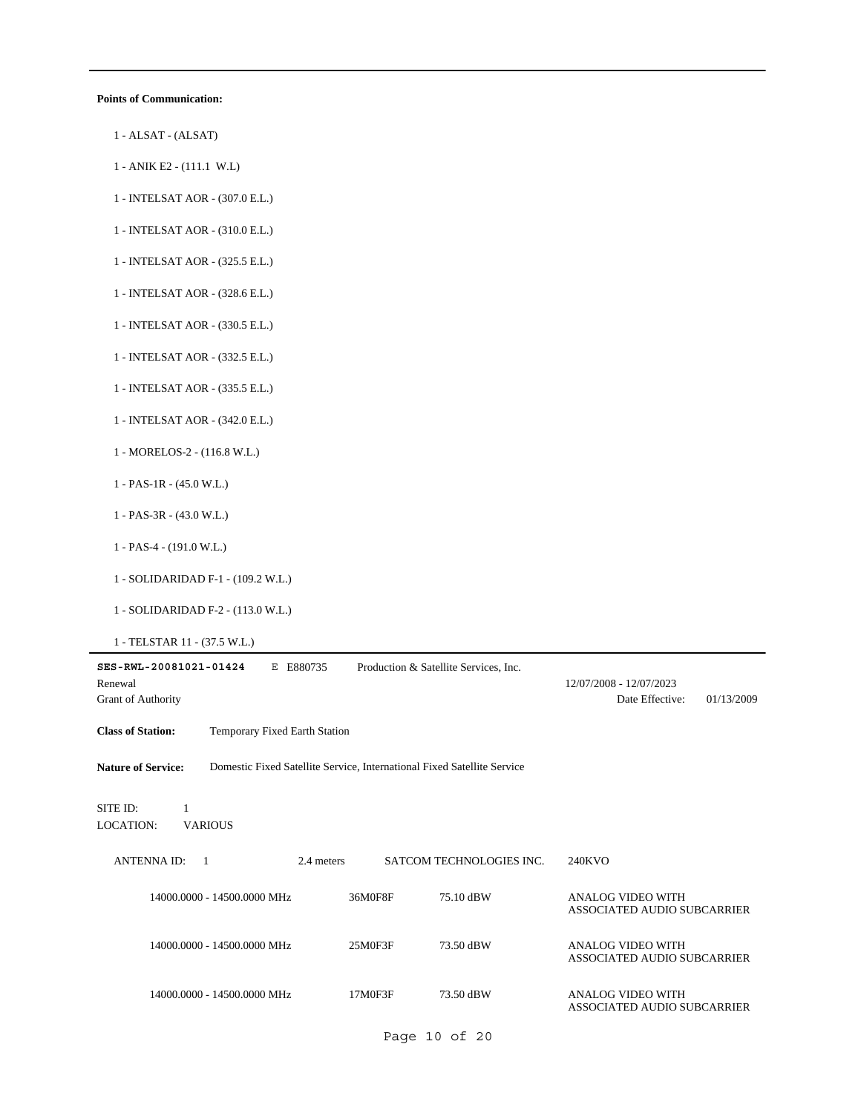#### **Points of Communication:**

- 1 ALSAT (ALSAT)
- 1 ANIK E2 (111.1 W.L)
- 1 INTELSAT AOR (307.0 E.L.)
- 1 INTELSAT AOR (310.0 E.L.)
- 1 INTELSAT AOR (325.5 E.L.)
- 1 INTELSAT AOR (328.6 E.L.)
- 1 INTELSAT AOR (330.5 E.L.)
- 1 INTELSAT AOR (332.5 E.L.)
- 1 INTELSAT AOR (335.5 E.L.)
- 1 INTELSAT AOR (342.0 E.L.)
- 1 MORELOS-2 (116.8 W.L.)
- 1 PAS-1R (45.0 W.L.)
- 1 PAS-3R (43.0 W.L.)
- 1 PAS-4 (191.0 W.L.)
- 1 SOLIDARIDAD F-1 (109.2 W.L.)
- 1 SOLIDARIDAD F-2 (113.0 W.L.)
- 1 TELSTAR 11 (37.5 W.L.)

| SES-RWL-20081021-01424<br>Renewal<br>Grant of Authority | E880735<br>Е                                                            |         | Production & Satellite Services, Inc. | 12/07/2008 - 12/07/2023<br>Date Effective:              | 01/13/2009 |
|---------------------------------------------------------|-------------------------------------------------------------------------|---------|---------------------------------------|---------------------------------------------------------|------------|
| <b>Class of Station:</b>                                | Temporary Fixed Earth Station                                           |         |                                       |                                                         |            |
| <b>Nature of Service:</b>                               | Domestic Fixed Satellite Service, International Fixed Satellite Service |         |                                       |                                                         |            |
| SITE ID:<br>1<br><b>VARIOUS</b><br>LOCATION:            |                                                                         |         |                                       |                                                         |            |
| <b>ANTENNAID:</b><br>$\overline{1}$                     | 2.4 meters                                                              |         | SATCOM TECHNOLOGIES INC.              | 240KVO                                                  |            |
|                                                         | 14000.0000 - 14500.0000 MHz                                             | 36M0F8F | 75.10 dBW                             | ANALOG VIDEO WITH<br><b>ASSOCIATED AUDIO SUBCARRIER</b> |            |
|                                                         | 14000.0000 - 14500.0000 MHz                                             | 25M0F3F | 73.50 dBW                             | ANALOG VIDEO WITH<br>ASSOCIATED AUDIO SUBCARRIER        |            |
|                                                         | 14000.0000 - 14500.0000 MHz                                             | 17M0F3F | 73.50 dBW                             | ANALOG VIDEO WITH<br>ASSOCIATED AUDIO SUBCARRIER        |            |

Page 10 of 20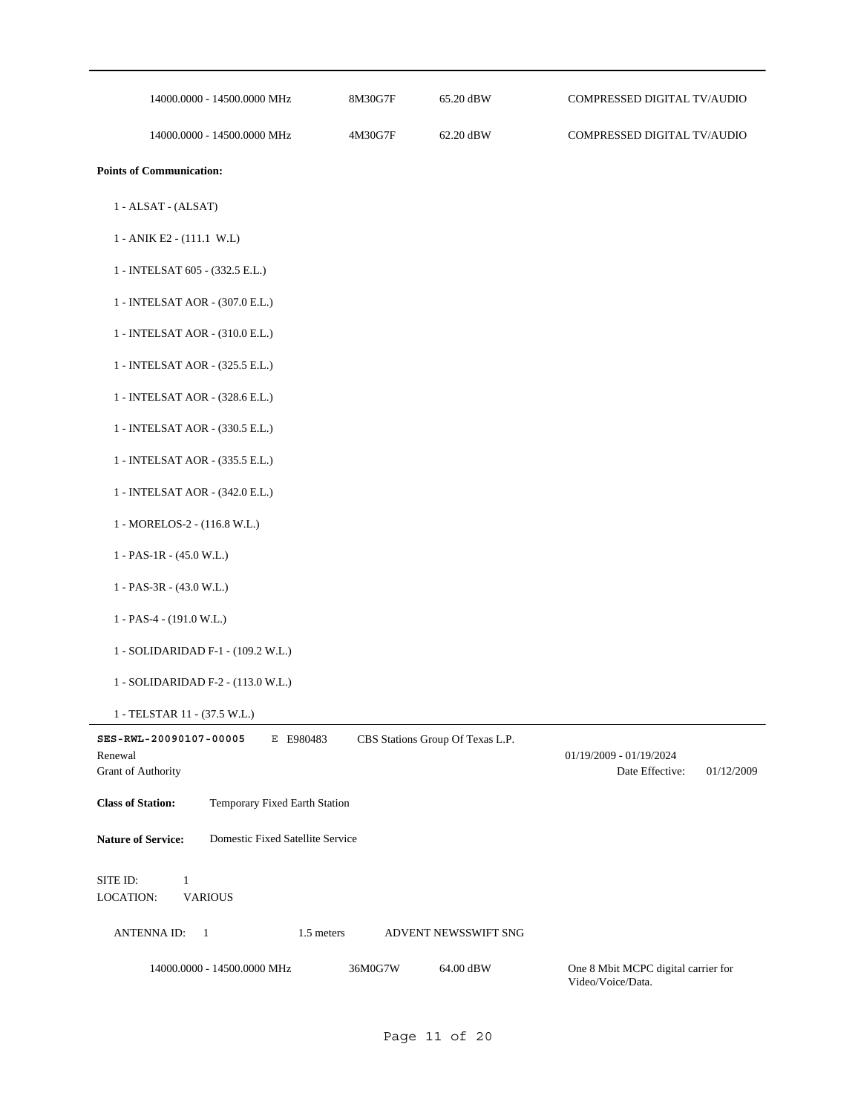| 14000.0000 - 14500.0000 MHz                                                 | 8M30G7F | 65.20 dBW                        | COMPRESSED DIGITAL TV/AUDIO                              |            |
|-----------------------------------------------------------------------------|---------|----------------------------------|----------------------------------------------------------|------------|
| 14000.0000 - 14500.0000 MHz                                                 | 4M30G7F | 62.20 dBW                        | COMPRESSED DIGITAL TV/AUDIO                              |            |
| <b>Points of Communication:</b>                                             |         |                                  |                                                          |            |
| 1 - ALSAT - (ALSAT)                                                         |         |                                  |                                                          |            |
| 1 - ANIK E2 - (111.1 W.L)                                                   |         |                                  |                                                          |            |
| 1 - INTELSAT 605 - (332.5 E.L.)                                             |         |                                  |                                                          |            |
| 1 - INTELSAT AOR - (307.0 E.L.)                                             |         |                                  |                                                          |            |
| 1 - INTELSAT AOR - (310.0 E.L.)                                             |         |                                  |                                                          |            |
| 1 - INTELSAT AOR - (325.5 E.L.)                                             |         |                                  |                                                          |            |
| 1 - INTELSAT AOR - (328.6 E.L.)                                             |         |                                  |                                                          |            |
| 1 - INTELSAT AOR - (330.5 E.L.)                                             |         |                                  |                                                          |            |
| 1 - INTELSAT AOR - (335.5 E.L.)                                             |         |                                  |                                                          |            |
| 1 - INTELSAT AOR - (342.0 E.L.)                                             |         |                                  |                                                          |            |
| 1 - MORELOS-2 - (116.8 W.L.)                                                |         |                                  |                                                          |            |
| $1 - PAS-1R - (45.0 W.L.)$                                                  |         |                                  |                                                          |            |
| $1 - PAS-3R - (43.0 W.L.)$                                                  |         |                                  |                                                          |            |
| $1 - PAS-4 - (191.0 W.L.)$                                                  |         |                                  |                                                          |            |
| 1 - SOLIDARIDAD F-1 - (109.2 W.L.)                                          |         |                                  |                                                          |            |
| 1 - SOLIDARIDAD F-2 - (113.0 W.L.)                                          |         |                                  |                                                          |            |
| 1 - TELSTAR 11 - (37.5 W.L.)                                                |         |                                  |                                                          |            |
| SES-RWL-20090107-00005<br>E E980483<br>Renewal<br><b>Grant of Authority</b> |         | CBS Stations Group Of Texas L.P. | 01/19/2009 - 01/19/2024<br>Date Effective:               | 01/12/2009 |
| <b>Class of Station:</b><br>Temporary Fixed Earth Station                   |         |                                  |                                                          |            |
| <b>Nature of Service:</b><br>Domestic Fixed Satellite Service               |         |                                  |                                                          |            |
| SITE ID:<br>$\mathbf{1}$<br>LOCATION:<br><b>VARIOUS</b>                     |         |                                  |                                                          |            |
| ANTENNA ID:<br>$\overline{1}$<br>1.5 meters                                 |         | ADVENT NEWSSWIFT SNG             |                                                          |            |
| 14000.0000 - 14500.0000 MHz                                                 | 36M0G7W | 64.00 dBW                        | One 8 Mbit MCPC digital carrier for<br>Video/Voice/Data. |            |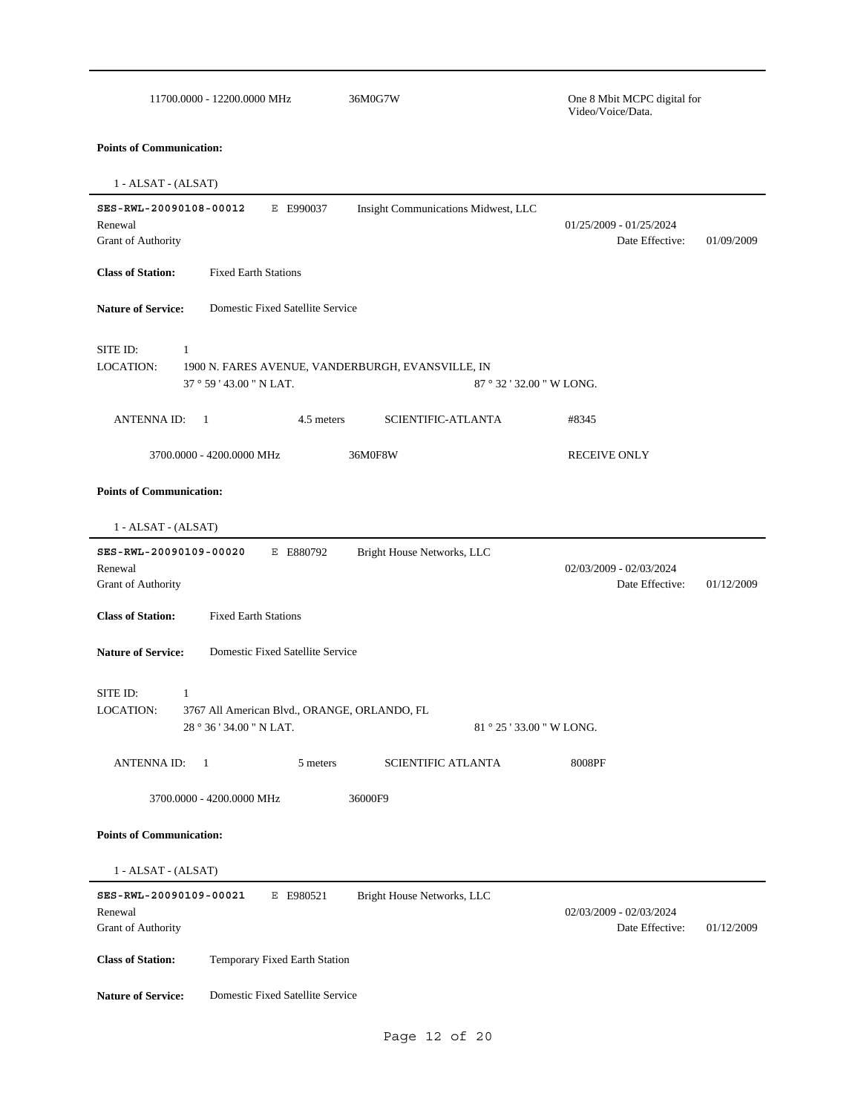| 36M0G7W<br>11700.0000 - 12200.0000 MHz                                                                                    | One 8 Mbit MCPC digital for<br>Video/Voice/Data. |            |
|---------------------------------------------------------------------------------------------------------------------------|--------------------------------------------------|------------|
| <b>Points of Communication:</b>                                                                                           |                                                  |            |
| 1 - ALSAT - (ALSAT)                                                                                                       |                                                  |            |
| SES-RWL-20090108-00012<br>Insight Communications Midwest, LLC<br>E E990037<br>Renewal<br>Grant of Authority               | 01/25/2009 - 01/25/2024<br>Date Effective:       | 01/09/2009 |
| <b>Class of Station:</b><br><b>Fixed Earth Stations</b>                                                                   |                                                  |            |
| Domestic Fixed Satellite Service<br><b>Nature of Service:</b>                                                             |                                                  |            |
| SITE ID:<br>1<br>LOCATION:<br>1900 N. FARES AVENUE, VANDERBURGH, EVANSVILLE, IN<br>37 ° 59 ' 43.00 " N LAT.               | 87 ° 32 ' 32.00 " W LONG.                        |            |
| SCIENTIFIC-ATLANTA<br><b>ANTENNA ID:</b><br>4.5 meters<br>$\overline{1}$                                                  | #8345                                            |            |
| 3700.0000 - 4200.0000 MHz<br>36M0F8W                                                                                      | <b>RECEIVE ONLY</b>                              |            |
| 1 - ALSAT - (ALSAT)<br>SES-RWL-20090109-00020<br>E E880792<br>Bright House Networks, LLC<br>Renewal<br>Grant of Authority | $02/03/2009 - 02/03/2024$<br>Date Effective:     | 01/12/2009 |
| <b>Class of Station:</b><br><b>Fixed Earth Stations</b>                                                                   |                                                  |            |
| <b>Nature of Service:</b><br>Domestic Fixed Satellite Service                                                             |                                                  |            |
| SITE ID:<br>1<br>LOCATION:<br>3767 All American Blvd., ORANGE, ORLANDO, FL<br>28 ° 36 ' 34.00 " N LAT.                    | 81 ° 25 ' 33.00 " W LONG.                        |            |
| <b>ANTENNA ID:</b><br>$\overline{1}$<br>5 meters<br><b>SCIENTIFIC ATLANTA</b>                                             | 8008PF                                           |            |
| 36000F9<br>3700.0000 - 4200.0000 MHz                                                                                      |                                                  |            |
| <b>Points of Communication:</b>                                                                                           |                                                  |            |
| 1 - ALSAT - (ALSAT)                                                                                                       |                                                  |            |
| SES-RWL-20090109-00021<br>E E980521<br>Bright House Networks, LLC<br>Renewal<br>Grant of Authority                        | 02/03/2009 - 02/03/2024<br>Date Effective:       | 01/12/2009 |
| <b>Class of Station:</b><br>Temporary Fixed Earth Station                                                                 |                                                  |            |
| Domestic Fixed Satellite Service<br><b>Nature of Service:</b>                                                             |                                                  |            |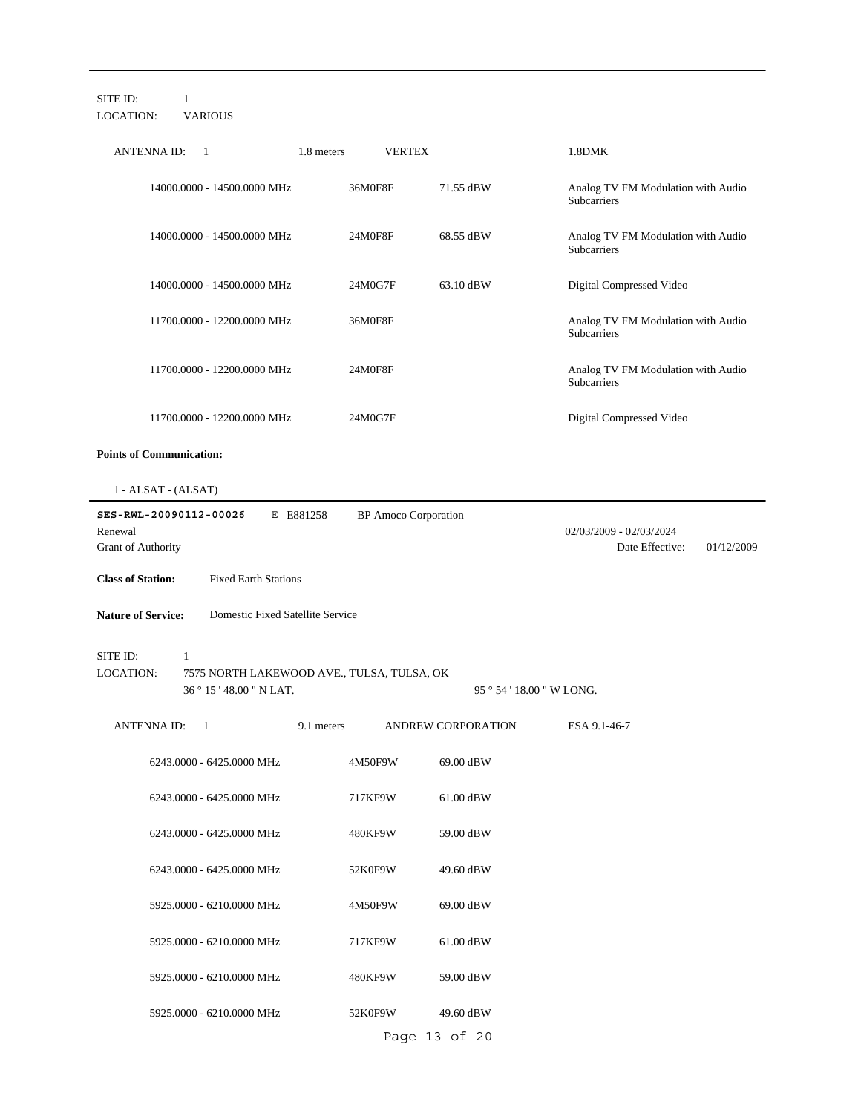| SITE ID:<br>1<br><b>LOCATION:</b><br><b>VARIOUS</b>                                                  |                             |                                                          |  |  |  |  |
|------------------------------------------------------------------------------------------------------|-----------------------------|----------------------------------------------------------|--|--|--|--|
| 1.8 meters<br><b>ANTENNA ID:</b><br>-1                                                               | <b>VERTEX</b>               | 1.8DMK                                                   |  |  |  |  |
| 14000.0000 - 14500.0000 MHz                                                                          | 36M0F8F<br>71.55 dBW        | Analog TV FM Modulation with Audio<br>Subcarriers        |  |  |  |  |
| 14000.0000 - 14500.0000 MHz                                                                          | 24M0F8F<br>68.55 dBW        | Analog TV FM Modulation with Audio<br>Subcarriers        |  |  |  |  |
| 14000.0000 - 14500.0000 MHz                                                                          | 24M0G7F<br>63.10 dBW        | Digital Compressed Video                                 |  |  |  |  |
| 11700.0000 - 12200.0000 MHz                                                                          | 36M0F8F                     | Analog TV FM Modulation with Audio<br>Subcarriers        |  |  |  |  |
| 11700.0000 - 12200.0000 MHz                                                                          | 24M0F8F                     | Analog TV FM Modulation with Audio<br>Subcarriers        |  |  |  |  |
| 11700.0000 - 12200.0000 MHz                                                                          | 24M0G7F                     | Digital Compressed Video                                 |  |  |  |  |
| <b>Points of Communication:</b>                                                                      |                             |                                                          |  |  |  |  |
| 1 - ALSAT - (ALSAT)                                                                                  |                             |                                                          |  |  |  |  |
| SES-RWL-20090112-00026<br>E E881258<br>Renewal<br>Grant of Authority                                 | <b>BP</b> Amoco Corporation | 02/03/2009 - 02/03/2024<br>Date Effective:<br>01/12/2009 |  |  |  |  |
| <b>Fixed Earth Stations</b><br><b>Class of Station:</b>                                              |                             |                                                          |  |  |  |  |
|                                                                                                      |                             |                                                          |  |  |  |  |
| Domestic Fixed Satellite Service<br><b>Nature of Service:</b>                                        |                             |                                                          |  |  |  |  |
| SITE ID:<br>1<br>LOCATION:<br>7575 NORTH LAKEWOOD AVE., TULSA, TULSA, OK<br>36 ° 15 ' 48.00 " N LAT. |                             | 95 ° 54 ' 18.00 " W LONG.                                |  |  |  |  |
| <b>ANTENNA ID:</b><br>9.1 meters<br>$\overline{1}$                                                   | ANDREW CORPORATION          | ESA 9.1-46-7                                             |  |  |  |  |
| 6243.0000 - 6425.0000 MHz                                                                            | 4M50F9W<br>69.00 dBW        |                                                          |  |  |  |  |
| 6243.0000 - 6425.0000 MHz                                                                            | 717KF9W<br>61.00 dBW        |                                                          |  |  |  |  |
| 6243.0000 - 6425.0000 MHz                                                                            | 480KF9W<br>59.00 dBW        |                                                          |  |  |  |  |
| 6243.0000 - 6425.0000 MHz                                                                            | 52K0F9W<br>49.60 dBW        |                                                          |  |  |  |  |
| 5925.0000 - 6210.0000 MHz                                                                            | 4M50F9W<br>69.00 dBW        |                                                          |  |  |  |  |
| 5925.0000 - 6210.0000 MHz                                                                            | 717KF9W<br>61.00 dBW        |                                                          |  |  |  |  |
| 5925.0000 - 6210.0000 MHz                                                                            | 480KF9W<br>59.00 dBW        |                                                          |  |  |  |  |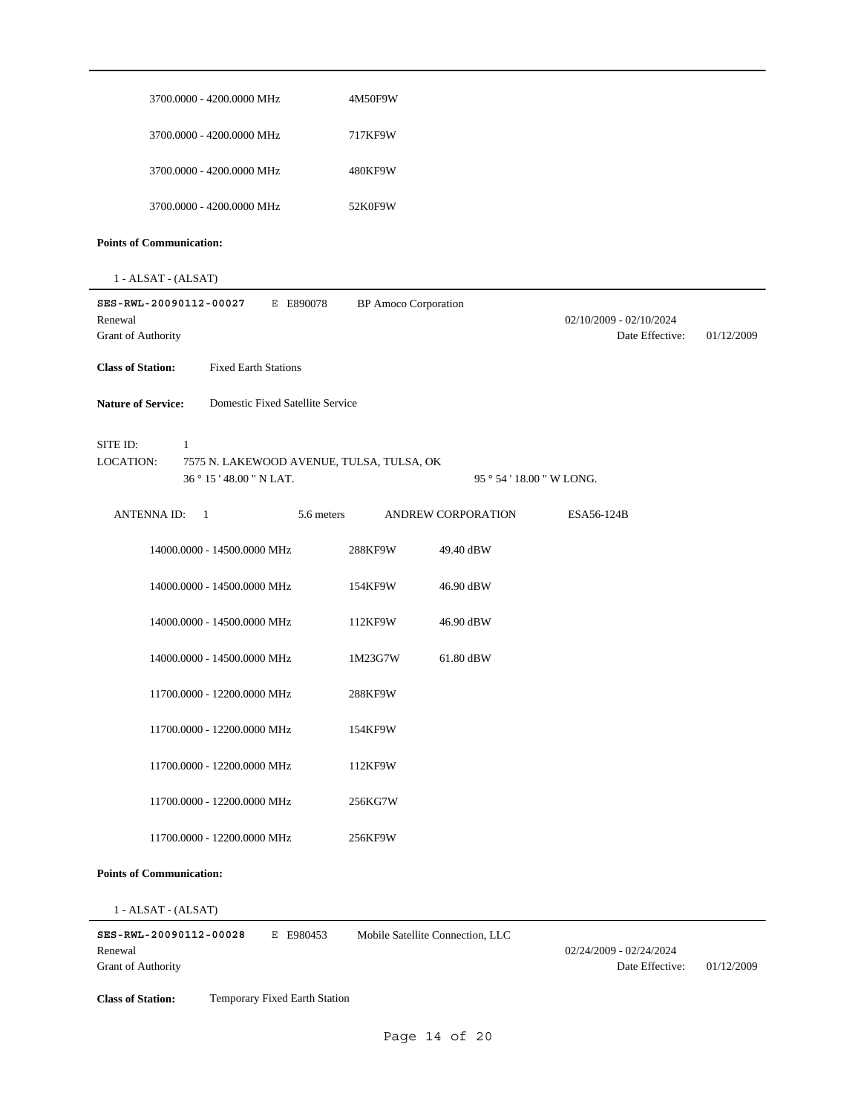| 3700.0000 - 4200.0000 MHz                                                                                  | 4M50F9W                     |                           |                                              |            |
|------------------------------------------------------------------------------------------------------------|-----------------------------|---------------------------|----------------------------------------------|------------|
| 3700.0000 - 4200.0000 MHz                                                                                  | 717KF9W                     |                           |                                              |            |
| 3700.0000 - 4200.0000 MHz                                                                                  | 480KF9W                     |                           |                                              |            |
| 3700.0000 - 4200.0000 MHz                                                                                  | 52K0F9W                     |                           |                                              |            |
| <b>Points of Communication:</b>                                                                            |                             |                           |                                              |            |
| 1 - ALSAT - (ALSAT)                                                                                        |                             |                           |                                              |            |
| SES-RWL-20090112-00027<br>E E890078<br>Renewal<br>Grant of Authority                                       | <b>BP</b> Amoco Corporation |                           | $02/10/2009 - 02/10/2024$<br>Date Effective: | 01/12/2009 |
| <b>Class of Station:</b><br><b>Fixed Earth Stations</b>                                                    |                             |                           |                                              |            |
| <b>Nature of Service:</b><br>Domestic Fixed Satellite Service                                              |                             |                           |                                              |            |
| SITE ID:<br>1<br><b>LOCATION:</b><br>7575 N. LAKEWOOD AVENUE, TULSA, TULSA, OK<br>36 ° 15 ' 48.00 " N LAT. |                             | 95 ° 54 ' 18.00 " W LONG. |                                              |            |
| <b>ANTENNA ID:</b><br>5.6 meters<br>$\overline{1}$                                                         |                             | ANDREW CORPORATION        | ESA56-124B                                   |            |
| 14000.0000 - 14500.0000 MHz                                                                                | 288KF9W                     | 49.40 dBW                 |                                              |            |
| 14000.0000 - 14500.0000 MHz                                                                                | 154KF9W                     | 46.90 dBW                 |                                              |            |
| 14000.0000 - 14500.0000 MHz                                                                                | 112KF9W                     | 46.90 dBW                 |                                              |            |
| 14000.0000 - 14500.0000 MHz                                                                                | 1M23G7W                     | 61.80 dBW                 |                                              |            |
| 11700.0000 - 12200.0000 MHz                                                                                | 288KF9W                     |                           |                                              |            |
| 11700.0000 - 12200.0000 MHz                                                                                | 154KF9W                     |                           |                                              |            |
| 11700.0000 - 12200.0000 MHz                                                                                | 112KF9W                     |                           |                                              |            |
| 11700.0000 - 12200.0000 MHz                                                                                | 256KG7W                     |                           |                                              |            |
| 11700.0000 - 12200.0000 MHz                                                                                | 256KF9W                     |                           |                                              |            |
| <b>Points of Communication:</b>                                                                            |                             |                           |                                              |            |

1 - ALSAT - (ALSAT)

**SES-RWL-20090112-00028** E E980453 Grant of Authority Renewal 02/24/2009 - 02/24/2024 Mobile Satellite Connection, LLC

Date Effective: 01/12/2009

**Class of Station:** Temporary Fixed Earth Station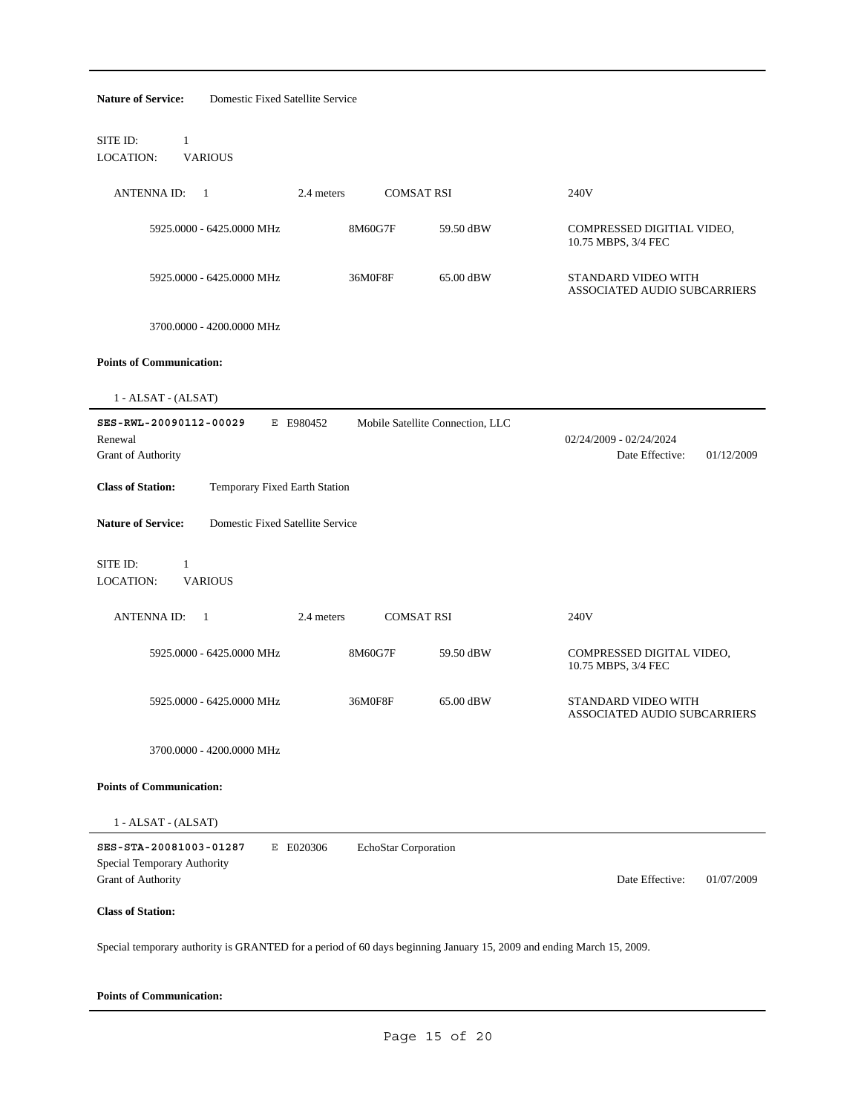| <b>Nature of Service:</b><br>Domestic Fixed Satellite Service                                                        |                      |                                  |                                                          |  |  |
|----------------------------------------------------------------------------------------------------------------------|----------------------|----------------------------------|----------------------------------------------------------|--|--|
| SITE ID:<br>$\mathbf{1}$<br><b>LOCATION:</b><br><b>VARIOUS</b>                                                       |                      |                                  |                                                          |  |  |
| <b>ANTENNA ID:</b><br>1<br>2.4 meters                                                                                | <b>COMSAT RSI</b>    |                                  | 240V                                                     |  |  |
| 5925.0000 - 6425.0000 MHz                                                                                            | 8M60G7F              | 59.50 dBW                        | COMPRESSED DIGITIAL VIDEO,<br>10.75 MBPS, 3/4 FEC        |  |  |
| 5925.0000 - 6425.0000 MHz                                                                                            | 36M0F8F              | 65.00 dBW                        | STANDARD VIDEO WITH<br>ASSOCIATED AUDIO SUBCARRIERS      |  |  |
| 3700.0000 - 4200.0000 MHz                                                                                            |                      |                                  |                                                          |  |  |
| <b>Points of Communication:</b>                                                                                      |                      |                                  |                                                          |  |  |
| 1 - ALSAT - (ALSAT)                                                                                                  |                      |                                  |                                                          |  |  |
| SES-RWL-20090112-00029<br>E E980452<br>Renewal<br>Grant of Authority                                                 |                      | Mobile Satellite Connection, LLC | 02/24/2009 - 02/24/2024<br>Date Effective:<br>01/12/2009 |  |  |
| <b>Class of Station:</b><br>Temporary Fixed Earth Station                                                            |                      |                                  |                                                          |  |  |
| <b>Nature of Service:</b><br>Domestic Fixed Satellite Service                                                        |                      |                                  |                                                          |  |  |
| SITE ID:<br>$\mathbf{1}$<br><b>LOCATION:</b><br><b>VARIOUS</b>                                                       |                      |                                  |                                                          |  |  |
| ANTENNA ID:<br>$\mathbf{1}$<br>2.4 meters                                                                            | <b>COMSAT RSI</b>    |                                  | 240V                                                     |  |  |
| 5925.0000 - 6425.0000 MHz                                                                                            | 8M60G7F              | 59.50 dBW                        | COMPRESSED DIGITAL VIDEO,<br>10.75 MBPS, 3/4 FEC         |  |  |
| 5925.0000 - 6425.0000 MHz                                                                                            | 36M0F8F              | 65.00 dBW                        | STANDARD VIDEO WITH<br>ASSOCIATED AUDIO SUBCARRIERS      |  |  |
| 3700.0000 - 4200.0000 MHz                                                                                            |                      |                                  |                                                          |  |  |
| <b>Points of Communication:</b>                                                                                      |                      |                                  |                                                          |  |  |
| 1 - ALSAT - (ALSAT)                                                                                                  |                      |                                  |                                                          |  |  |
| SES-STA-20081003-01287<br>E E020306<br>Special Temporary Authority<br>Grant of Authority                             | EchoStar Corporation |                                  | Date Effective:<br>01/07/2009                            |  |  |
| <b>Class of Station:</b>                                                                                             |                      |                                  |                                                          |  |  |
| Special temporary authority is GRANTED for a period of 60 days beginning January 15, 2009 and ending March 15, 2009. |                      |                                  |                                                          |  |  |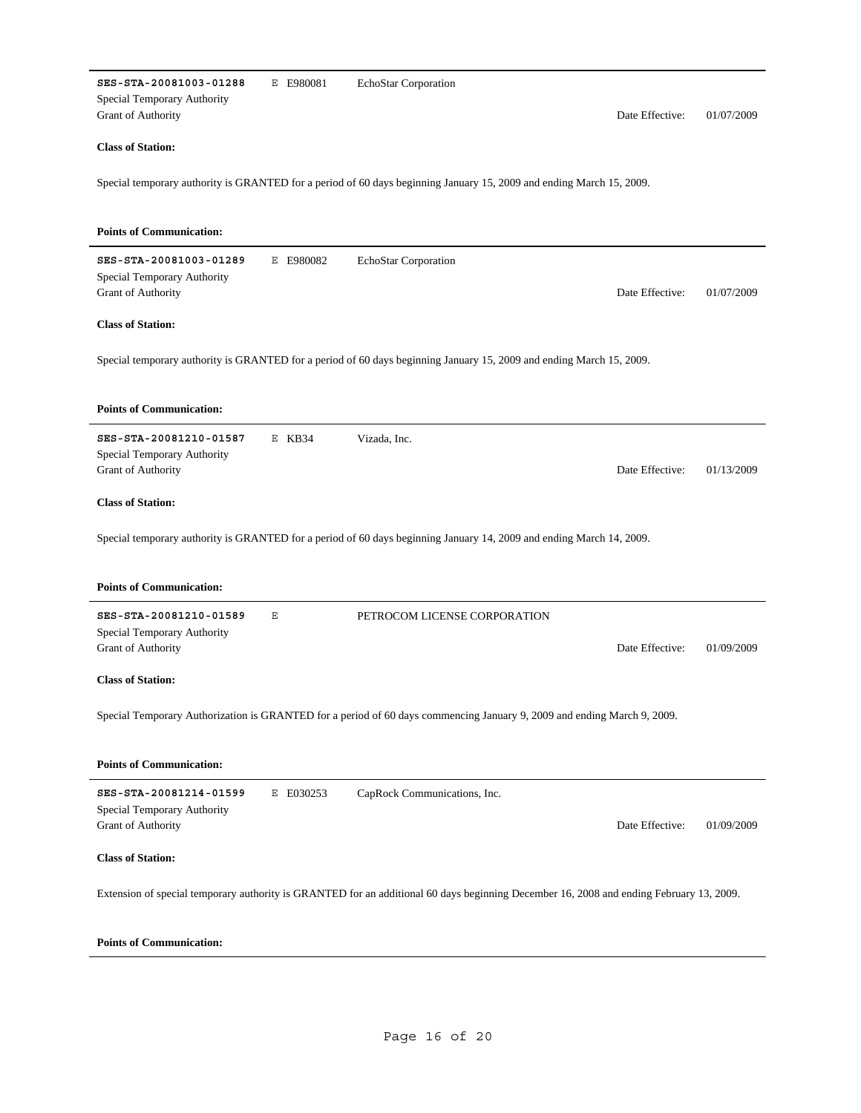| SES-STA-20081003-01288<br>Special Temporary Authority<br>Grant of Authority | E E980081 | EchoStar Corporation                                                                                                                    | Date Effective: | 01/07/2009 |
|-----------------------------------------------------------------------------|-----------|-----------------------------------------------------------------------------------------------------------------------------------------|-----------------|------------|
| <b>Class of Station:</b>                                                    |           |                                                                                                                                         |                 |            |
|                                                                             |           | Special temporary authority is GRANTED for a period of 60 days beginning January 15, 2009 and ending March 15, 2009.                    |                 |            |
| <b>Points of Communication:</b>                                             |           |                                                                                                                                         |                 |            |
| SES-STA-20081003-01289<br>Special Temporary Authority<br>Grant of Authority | E E980082 | EchoStar Corporation                                                                                                                    | Date Effective: | 01/07/2009 |
| <b>Class of Station:</b>                                                    |           |                                                                                                                                         |                 |            |
|                                                                             |           | Special temporary authority is GRANTED for a period of 60 days beginning January 15, 2009 and ending March 15, 2009.                    |                 |            |
| <b>Points of Communication:</b>                                             |           |                                                                                                                                         |                 |            |
| SES-STA-20081210-01587<br>Special Temporary Authority<br>Grant of Authority | $E$ KB34  | Vizada, Inc.                                                                                                                            | Date Effective: | 01/13/2009 |
| <b>Class of Station:</b>                                                    |           |                                                                                                                                         |                 |            |
|                                                                             |           | Special temporary authority is GRANTED for a period of 60 days beginning January 14, 2009 and ending March 14, 2009.                    |                 |            |
| <b>Points of Communication:</b>                                             |           |                                                                                                                                         |                 |            |
| SES-STA-20081210-01589                                                      | Ε         | PETROCOM LICENSE CORPORATION                                                                                                            |                 |            |
| Special Temporary Authority<br>Grant of Authority                           |           |                                                                                                                                         | Date Effective: | 01/09/2009 |
| <b>Class of Station:</b>                                                    |           |                                                                                                                                         |                 |            |
|                                                                             |           | Special Temporary Authorization is GRANTED for a period of 60 days commencing January 9, 2009 and ending March 9, 2009.                 |                 |            |
| <b>Points of Communication:</b>                                             |           |                                                                                                                                         |                 |            |
| SES-STA-20081214-01599<br>Special Temporary Authority<br>Grant of Authority | E E030253 | CapRock Communications, Inc.                                                                                                            | Date Effective: | 01/09/2009 |
|                                                                             |           |                                                                                                                                         |                 |            |
| <b>Class of Station:</b>                                                    |           |                                                                                                                                         |                 |            |
|                                                                             |           | Extension of special temporary authority is GRANTED for an additional 60 days beginning December 16, 2008 and ending February 13, 2009. |                 |            |
|                                                                             |           |                                                                                                                                         |                 |            |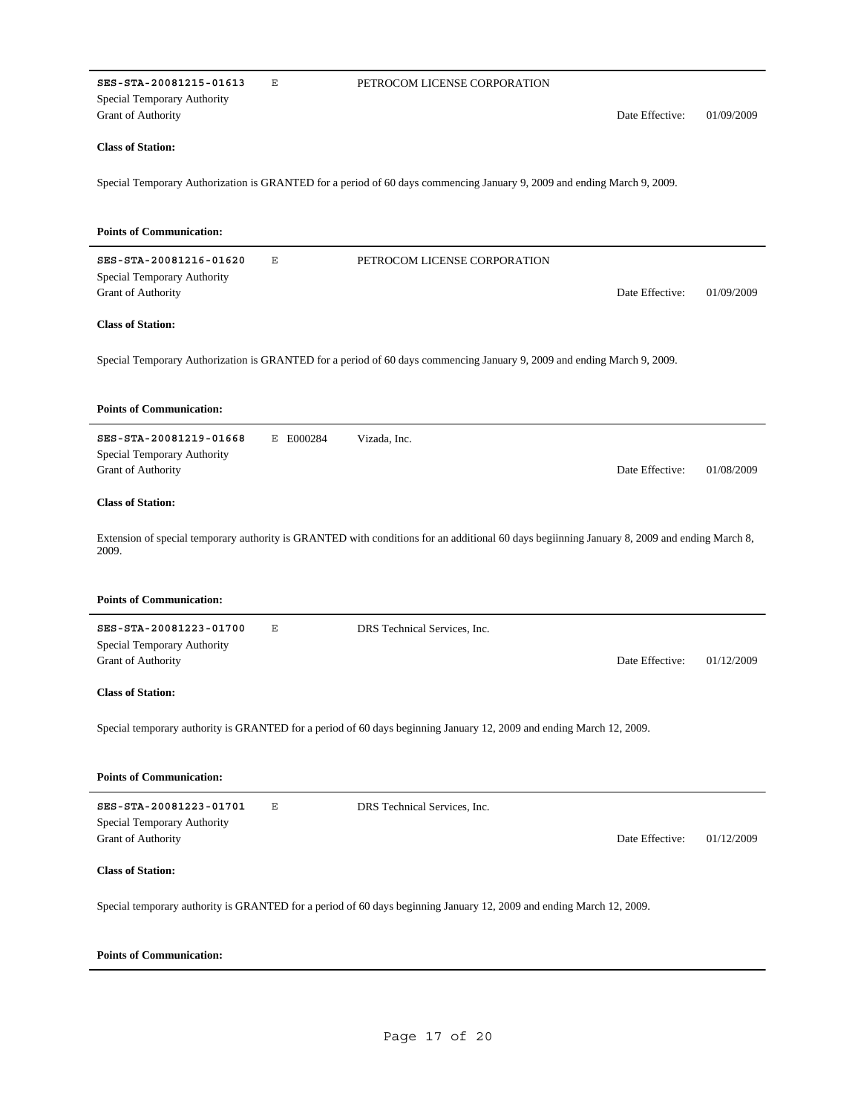| SES-STA-20081215-01613          | Ε         | PETROCOM LICENSE CORPORATION                                                                                                                |                 |            |
|---------------------------------|-----------|---------------------------------------------------------------------------------------------------------------------------------------------|-----------------|------------|
| Special Temporary Authority     |           |                                                                                                                                             |                 |            |
| Grant of Authority              |           |                                                                                                                                             | Date Effective: | 01/09/2009 |
| <b>Class of Station:</b>        |           |                                                                                                                                             |                 |            |
|                                 |           | Special Temporary Authorization is GRANTED for a period of 60 days commencing January 9, 2009 and ending March 9, 2009.                     |                 |            |
| <b>Points of Communication:</b> |           |                                                                                                                                             |                 |            |
| SES-STA-20081216-01620          | Ε         | PETROCOM LICENSE CORPORATION                                                                                                                |                 |            |
| Special Temporary Authority     |           |                                                                                                                                             |                 |            |
| Grant of Authority              |           |                                                                                                                                             | Date Effective: | 01/09/2009 |
| <b>Class of Station:</b>        |           |                                                                                                                                             |                 |            |
|                                 |           | Special Temporary Authorization is GRANTED for a period of 60 days commencing January 9, 2009 and ending March 9, 2009.                     |                 |            |
|                                 |           |                                                                                                                                             |                 |            |
| <b>Points of Communication:</b> |           |                                                                                                                                             |                 |            |
| SES-STA-20081219-01668          | E E000284 | Vizada, Inc.                                                                                                                                |                 |            |
| Special Temporary Authority     |           |                                                                                                                                             |                 |            |
| Grant of Authority              |           |                                                                                                                                             | Date Effective: | 01/08/2009 |
| <b>Class of Station:</b>        |           |                                                                                                                                             |                 |            |
| 2009.                           |           | Extension of special temporary authority is GRANTED with conditions for an additional 60 days beginning January 8, 2009 and ending March 8, |                 |            |
| <b>Points of Communication:</b> |           |                                                                                                                                             |                 |            |
| SES-STA-20081223-01700          | Ε         | DRS Technical Services, Inc.                                                                                                                |                 |            |
| Special Temporary Authority     |           |                                                                                                                                             |                 |            |
| Grant of Authority              |           |                                                                                                                                             | Date Effective: | 01/12/2009 |
| <b>Class of Station:</b>        |           |                                                                                                                                             |                 |            |
|                                 |           | Special temporary authority is GRANTED for a period of 60 days beginning January 12, 2009 and ending March 12, 2009.                        |                 |            |
| <b>Points of Communication:</b> |           |                                                                                                                                             |                 |            |
| SES-STA-20081223-01701          | Ε         | DRS Technical Services, Inc.                                                                                                                |                 |            |
| Special Temporary Authority     |           |                                                                                                                                             |                 |            |
| Grant of Authority              |           |                                                                                                                                             | Date Effective: | 01/12/2009 |
| <b>Class of Station:</b>        |           |                                                                                                                                             |                 |            |
|                                 |           | Special temporary authority is GRANTED for a period of 60 days beginning January 12, 2009 and ending March 12, 2009.                        |                 |            |
| <b>Points of Communication:</b> |           |                                                                                                                                             |                 |            |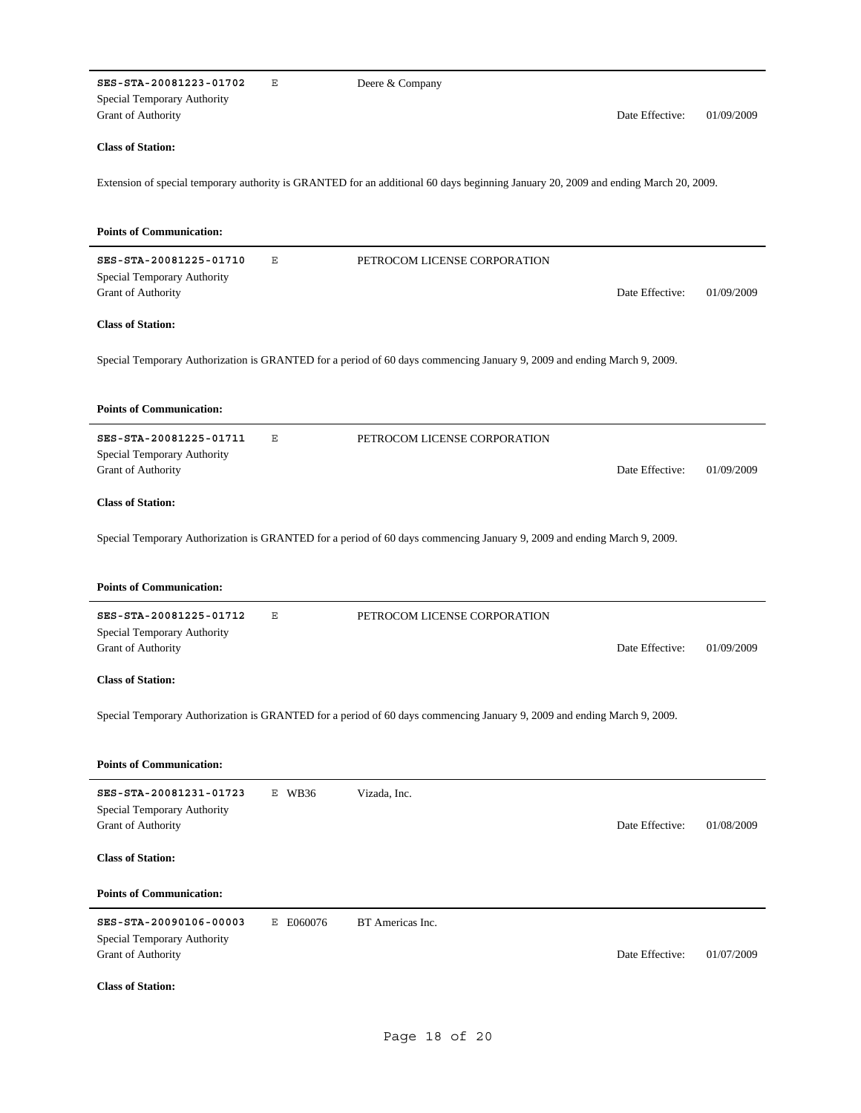| SES-STA-20081223-01702                                   | Ε         | Deere & Company                                                                                                                     |            |
|----------------------------------------------------------|-----------|-------------------------------------------------------------------------------------------------------------------------------------|------------|
| Special Temporary Authority<br><b>Grant of Authority</b> |           | Date Effective:                                                                                                                     | 01/09/2009 |
|                                                          |           |                                                                                                                                     |            |
| <b>Class of Station:</b>                                 |           |                                                                                                                                     |            |
|                                                          |           | Extension of special temporary authority is GRANTED for an additional 60 days beginning January 20, 2009 and ending March 20, 2009. |            |
|                                                          |           |                                                                                                                                     |            |
| <b>Points of Communication:</b>                          |           |                                                                                                                                     |            |
|                                                          |           |                                                                                                                                     |            |
| SES-STA-20081225-01710<br>Special Temporary Authority    | Ε         | PETROCOM LICENSE CORPORATION                                                                                                        |            |
| Grant of Authority                                       |           | Date Effective:                                                                                                                     | 01/09/2009 |
| <b>Class of Station:</b>                                 |           |                                                                                                                                     |            |
|                                                          |           |                                                                                                                                     |            |
|                                                          |           | Special Temporary Authorization is GRANTED for a period of 60 days commencing January 9, 2009 and ending March 9, 2009.             |            |
|                                                          |           |                                                                                                                                     |            |
| <b>Points of Communication:</b>                          |           |                                                                                                                                     |            |
| SES-STA-20081225-01711                                   | Ε         | PETROCOM LICENSE CORPORATION                                                                                                        |            |
| Special Temporary Authority                              |           |                                                                                                                                     |            |
| Grant of Authority                                       |           | Date Effective:                                                                                                                     | 01/09/2009 |
| <b>Class of Station:</b>                                 |           |                                                                                                                                     |            |
|                                                          |           |                                                                                                                                     |            |
|                                                          |           | Special Temporary Authorization is GRANTED for a period of 60 days commencing January 9, 2009 and ending March 9, 2009.             |            |
|                                                          |           |                                                                                                                                     |            |
|                                                          |           |                                                                                                                                     |            |
| <b>Points of Communication:</b>                          |           |                                                                                                                                     |            |
| SES-STA-20081225-01712                                   | Ε         | PETROCOM LICENSE CORPORATION                                                                                                        |            |
| Special Temporary Authority                              |           |                                                                                                                                     |            |
| Grant of Authority                                       |           | Date Effective:                                                                                                                     | 01/09/2009 |
| <b>Class of Station:</b>                                 |           |                                                                                                                                     |            |
|                                                          |           |                                                                                                                                     |            |
|                                                          |           | Special Temporary Authorization is GRANTED for a period of 60 days commencing January 9, 2009 and ending March 9, 2009.             |            |
|                                                          |           |                                                                                                                                     |            |
| <b>Points of Communication:</b>                          |           |                                                                                                                                     |            |
| SES-STA-20081231-01723                                   | E WB36    | Vizada, Inc.                                                                                                                        |            |
| Special Temporary Authority<br>Grant of Authority        |           | Date Effective:                                                                                                                     | 01/08/2009 |
|                                                          |           |                                                                                                                                     |            |
| <b>Class of Station:</b>                                 |           |                                                                                                                                     |            |
| <b>Points of Communication:</b>                          |           |                                                                                                                                     |            |
| SES-STA-20090106-00003                                   | E E060076 | BT Americas Inc.                                                                                                                    |            |
| Special Temporary Authority                              |           |                                                                                                                                     |            |
| Grant of Authority                                       |           | Date Effective:                                                                                                                     | 01/07/2009 |
| <b>Class of Station:</b>                                 |           |                                                                                                                                     |            |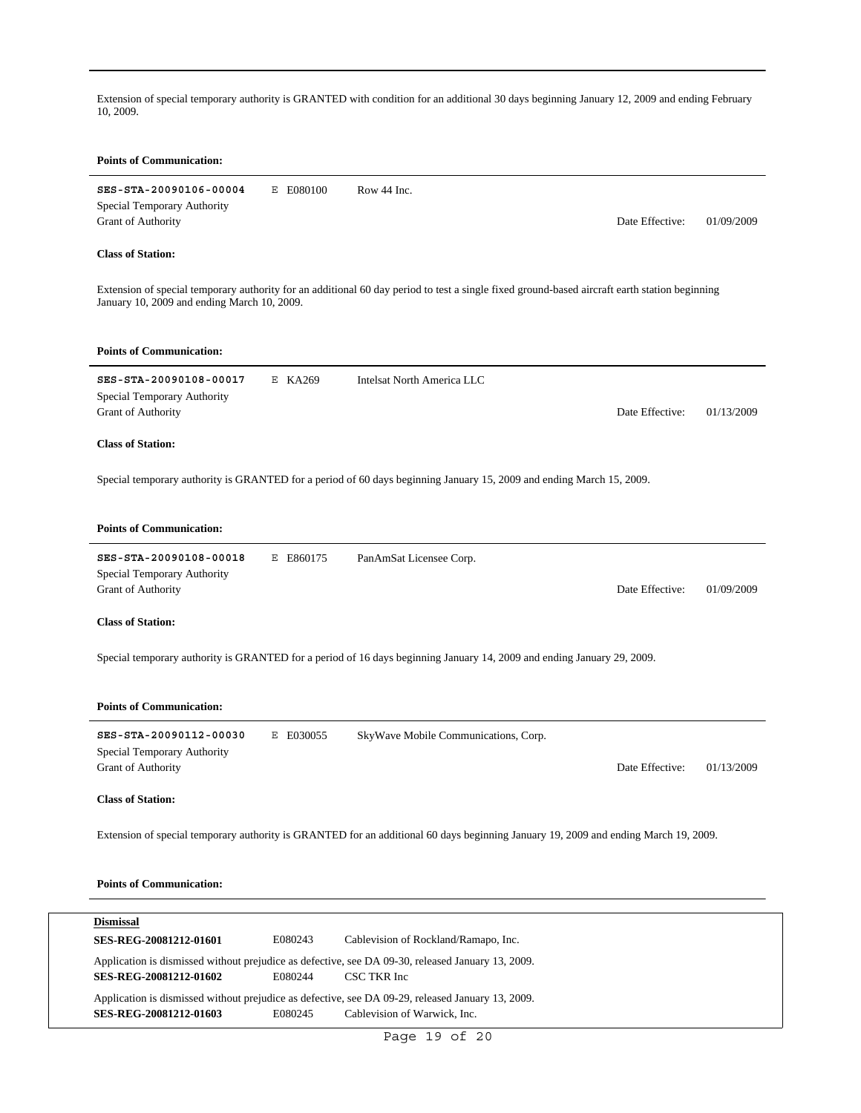Extension of special temporary authority is GRANTED with condition for an additional 30 days beginning January 12, 2009 and ending February 10, 2009.

## **Points of Communication**

| <b>Points of Communication:</b>                                                    |           |                                                                                                                                               |                 |            |
|------------------------------------------------------------------------------------|-----------|-----------------------------------------------------------------------------------------------------------------------------------------------|-----------------|------------|
| SES-STA-20090106-00004<br>Special Temporary Authority<br>Grant of Authority        | E E080100 | Row 44 Inc.                                                                                                                                   | Date Effective: | 01/09/2009 |
| <b>Class of Station:</b>                                                           |           |                                                                                                                                               |                 |            |
| January 10, 2009 and ending March 10, 2009.                                        |           | Extension of special temporary authority for an additional 60 day period to test a single fixed ground-based aircraft earth station beginning |                 |            |
| <b>Points of Communication:</b>                                                    |           |                                                                                                                                               |                 |            |
| SES-STA-20090108-00017<br>Special Temporary Authority<br>Grant of Authority        | E KA269   | Intelsat North America LLC                                                                                                                    | Date Effective: | 01/13/2009 |
| <b>Class of Station:</b>                                                           |           |                                                                                                                                               |                 |            |
|                                                                                    |           | Special temporary authority is GRANTED for a period of 60 days beginning January 15, 2009 and ending March 15, 2009.                          |                 |            |
| <b>Points of Communication:</b>                                                    |           |                                                                                                                                               |                 |            |
| SES-STA-20090108-00018<br>Special Temporary Authority<br>Grant of Authority        | E E860175 | PanAmSat Licensee Corp.                                                                                                                       | Date Effective: | 01/09/2009 |
| <b>Class of Station:</b>                                                           |           |                                                                                                                                               |                 |            |
|                                                                                    |           | Special temporary authority is GRANTED for a period of 16 days beginning January 14, 2009 and ending January 29, 2009.                        |                 |            |
| <b>Points of Communication:</b>                                                    |           |                                                                                                                                               |                 |            |
| SES-STA-20090112-00030<br>Special Temporary Authority<br><b>Grant of Authority</b> | E E030055 | SkyWave Mobile Communications, Corp.                                                                                                          | Date Effective: | 01/13/2009 |
| <b>Class of Station:</b>                                                           |           |                                                                                                                                               |                 |            |
|                                                                                    |           | Extension of special temporary authority is GRANTED for an additional 60 days beginning January 19, 2009 and ending March 19, 2009.           |                 |            |
| <b>Points of Communication:</b>                                                    |           |                                                                                                                                               |                 |            |
|                                                                                    |           |                                                                                                                                               |                 |            |
| <b>Dismissal</b><br>SES-REG-20081212-01601                                         | E080243   | Cablevision of Rockland/Ramapo, Inc.                                                                                                          |                 |            |
| SES-REG-20081212-01602                                                             | E080244   | Application is dismissed without prejudice as defective, see DA 09-30, released January 13, 2009.<br>CSC TKR Inc                              |                 |            |

Application is dismissed without prejudice as defective, see DA 09-29, released January 13, 2009.

**SES-REG-20081212-01603** E080245 Cablevision of Warwick, Inc.